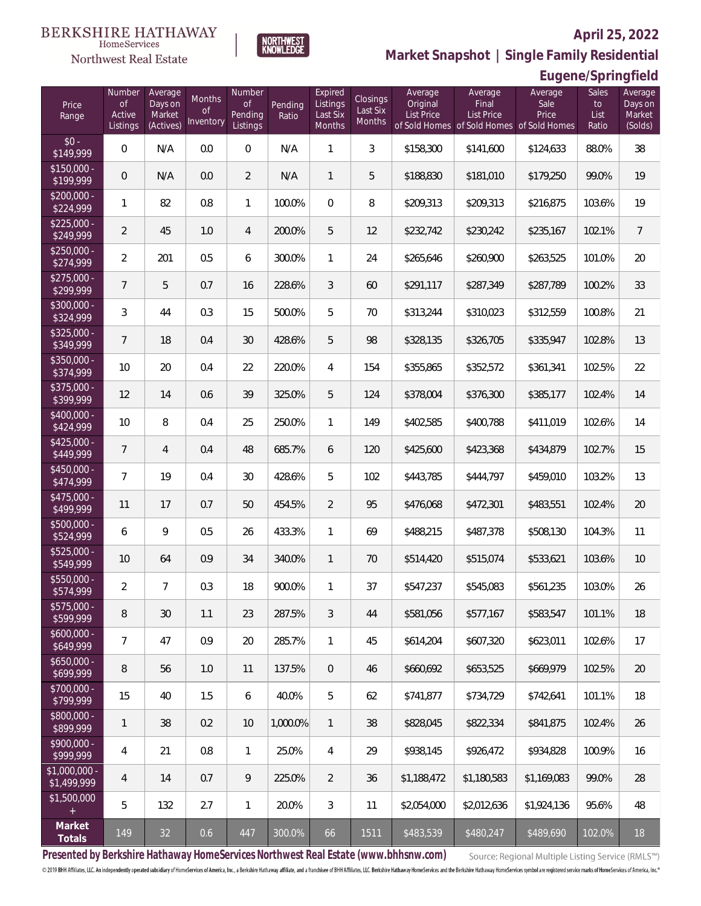

**Market Snapshot | Single Family Residential**

**Eugene/Springfield**

# Northwest Real Estate

**BERKSHIRE HATHAWAY** 

HomeServices

| Price<br>Range               | Number<br><b>of</b><br>Active<br>Listings | Average<br>Days on<br>Market<br>(Actives) | Months<br><b>of</b><br>Inventory | Number<br><b>of</b><br>Pending<br>Listings | Pending<br>Ratio | Expired<br>Listings<br>Last Six<br>Months | Closings<br>Last Six<br>Months | Average<br>Original<br>List Price | Average<br>Final<br>List Price | Average<br>Sale<br>Price<br>of Sold Homes of Sold Homes of Sold Homes | Sales<br>to<br>List<br>Ratio | Average<br>Days on<br>Market<br>(Solds) |
|------------------------------|-------------------------------------------|-------------------------------------------|----------------------------------|--------------------------------------------|------------------|-------------------------------------------|--------------------------------|-----------------------------------|--------------------------------|-----------------------------------------------------------------------|------------------------------|-----------------------------------------|
| $$0 -$<br>\$149,999          | $\overline{0}$                            | N/A                                       | 0.0                              | $\mathbf 0$                                | N/A              | $\mathbf{1}$                              | 3                              | \$158,300                         | \$141,600                      | \$124,633                                                             | 88.0%                        | 38                                      |
| $$150,000 -$<br>\$199,999    | $\mathbf 0$                               | N/A                                       | 0.0                              | $\overline{2}$                             | N/A              | $\mathbf{1}$                              | 5                              | \$188,830                         | \$181,010                      | \$179,250                                                             | 99.0%                        | 19                                      |
| $$200,000 -$<br>\$224,999    | 1                                         | 82                                        | 0.8                              | $\mathbf{1}$                               | 100.0%           | $\overline{0}$                            | 8                              | \$209,313                         | \$209,313                      | \$216,875                                                             | 103.6%                       | 19                                      |
| $$225,000 -$<br>\$249,999    | $\overline{2}$                            | 45                                        | 1.0                              | $\overline{4}$                             | 200.0%           | 5                                         | 12                             | \$232,742                         | \$230,242                      | \$235,167                                                             | 102.1%                       | $\overline{7}$                          |
| $$250,000 -$<br>\$274,999    | $\overline{2}$                            | 201                                       | 0.5                              | 6                                          | 300.0%           | $\mathbf{1}$                              | 24                             | \$265,646                         | \$260,900                      | \$263,525                                                             | 101.0%                       | 20                                      |
| $$275,000 -$<br>\$299,999    | 7                                         | 5                                         | 0.7                              | 16                                         | 228.6%           | $\mathfrak{Z}$                            | 60                             | \$291,117                         | \$287,349                      | \$287,789                                                             | 100.2%                       | 33                                      |
| $$300,000 -$<br>\$324,999    | $\mathfrak{Z}$                            | 44                                        | 0.3                              | 15                                         | 500.0%           | 5                                         | 70                             | \$313,244                         | \$310,023                      | \$312,559                                                             | 100.8%                       | 21                                      |
| $$325,000 -$<br>\$349,999    | 7                                         | 18                                        | 0.4                              | 30                                         | 428.6%           | 5                                         | 98                             | \$328,135                         | \$326,705                      | \$335,947                                                             | 102.8%                       | 13                                      |
| $$350,000 -$<br>\$374,999    | 10                                        | 20                                        | 0.4                              | 22                                         | 220.0%           | 4                                         | 154                            | \$355,865                         | \$352,572                      | \$361,341                                                             | 102.5%                       | 22                                      |
| $$375,000 -$<br>\$399,999    | 12                                        | 14                                        | 0.6                              | 39                                         | 325.0%           | 5                                         | 124                            | \$378,004                         | \$376,300                      | \$385,177                                                             | 102.4%                       | 14                                      |
| $$400,000 -$<br>\$424,999    | 10                                        | $\, 8$                                    | 0.4                              | 25                                         | 250.0%           | $\mathbf{1}$                              | 149                            | \$402,585                         | \$400,788                      | \$411,019                                                             | 102.6%                       | 14                                      |
| $$425,000 -$<br>\$449,999    | $\overline{7}$                            | $\overline{4}$                            | 0.4                              | 48                                         | 685.7%           | 6                                         | 120                            | \$425,600                         | \$423,368                      | \$434,879                                                             | 102.7%                       | 15                                      |
| $$450.000 -$<br>\$474,999    | $\overline{7}$                            | 19                                        | 0.4                              | 30                                         | 428.6%           | 5                                         | 102                            | \$443,785                         | \$444,797                      | \$459,010                                                             | 103.2%                       | 13                                      |
| $$475,000 -$<br>\$499,999    | 11                                        | 17                                        | 0.7                              | 50                                         | 454.5%           | $\overline{2}$                            | 95                             | \$476,068                         | \$472,301                      | \$483,551                                                             | 102.4%                       | 20                                      |
| $500,000 -$<br>\$524,999     | 6                                         | $\mathsf{Q}$                              | 0.5                              | 26                                         | 433.3%           | 1                                         | 69                             | \$488,215                         | \$487,378                      | \$508,130                                                             | 104.3%                       | 11                                      |
| $$525,000 -$<br>\$549,999    | 10                                        | 64                                        | 0.9                              | 34                                         | 340.0%           | $\mathbf{1}$                              | 70                             | \$514,420                         | \$515,074                      | \$533,621                                                             | 103.6%                       | 10                                      |
| \$550,000 -<br>\$574,999     | $\overline{2}$                            | $\overline{7}$                            | 0.3                              | 18                                         | 900.0%           | $\mathbf{1}$                              | 37                             | \$547,237                         | \$545,083                      | \$561,235                                                             | 103.0%                       | 26                                      |
| \$575,000 -<br>\$599,999     | 8                                         | $30\,$                                    | 1.1                              | 23                                         | 287.5%           | 3                                         | 44                             | \$581,056                         | \$577,167                      | \$583,547                                                             | 101.1%                       | 18                                      |
| \$600,000 -<br>\$649,999     | $\overline{7}$                            | 47                                        | 0.9                              | 20                                         | 285.7%           | 1                                         | 45                             | \$614,204                         | \$607,320                      | \$623,011                                                             | 102.6%                       | 17                                      |
| $$650,000 -$<br>\$699,999    | 8                                         | 56                                        | 1.0                              | 11                                         | 137.5%           | $\mathbf 0$                               | 46                             | \$660,692                         | \$653,525                      | \$669,979                                                             | 102.5%                       | 20                                      |
| \$700,000 -<br>\$799,999     | 15                                        | 40                                        | 1.5                              | 6                                          | 40.0%            | 5                                         | 62                             | \$741,877                         | \$734,729                      | \$742,641                                                             | 101.1%                       | 18                                      |
| \$800,000 -<br>\$899,999     | 1                                         | 38                                        | 0.2                              | 10                                         | 1,000.0%         | $\mathbf{1}$                              | 38                             | \$828,045                         | \$822,334                      | \$841,875                                                             | 102.4%                       | 26                                      |
| \$900,000 -<br>\$999,999     | 4                                         | 21                                        | 0.8                              | $\mathbf{1}$                               | 25.0%            | 4                                         | 29                             | \$938,145                         | \$926,472                      | \$934,828                                                             | 100.9%                       | 16                                      |
| \$1,000,000 -<br>\$1,499,999 | 4                                         | 14                                        | 0.7                              | 9                                          | 225.0%           | $\overline{2}$                            | 36                             | \$1,188,472                       | \$1,180,583                    | \$1,169,083                                                           | 99.0%                        | 28                                      |
| \$1,500,000<br>$\pm$         | 5                                         | 132                                       | 2.7                              | $\mathbf{1}$                               | 20.0%            | 3                                         | 11                             | \$2,054,000                       | \$2,012,636                    | \$1,924,136                                                           | 95.6%                        | 48                                      |
| Market<br>Totals             | 149                                       | 32                                        | 0.6                              | 447                                        | 300.0%           | 66                                        | 1511                           | \$483,539                         | \$480,247                      | \$489,690                                                             | 102.0%                       | 18                                      |

**Presented by Berkshire Hathaway HomeServices Northwest Real Estate (www.bhhsnw.com)**

Source: Regional Multiple Listing Service (RMLS™)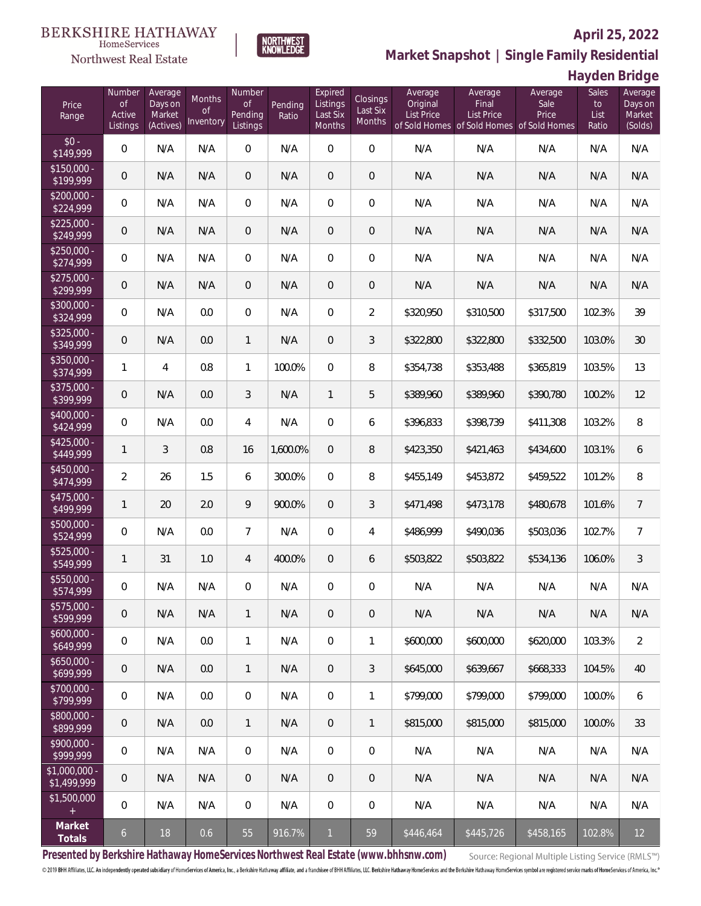

HomeServices

**Market Snapshot | Single Family Residential**

### **Hayden Bridge**

| Price<br>Range                | Number<br><b>of</b><br>Active<br>Listings | Average<br>Days on<br>Market<br>(Actives) | Months<br>0f<br>Inventory | Number<br><b>of</b><br>Pending<br>Listings | Pending<br>Ratio | Expired<br>Listings<br>Last Six<br><b>Months</b> | Closings<br>Last Six<br>Months | Average<br>Original<br><b>List Price</b> | Average<br>Final<br><b>List Price</b><br>of Sold Homes of Sold Homes of Sold Homes | Average<br>Sale<br>Price | Sales<br>to<br>List<br>Ratio | Average<br>Days on<br>Market<br>(Solds) |
|-------------------------------|-------------------------------------------|-------------------------------------------|---------------------------|--------------------------------------------|------------------|--------------------------------------------------|--------------------------------|------------------------------------------|------------------------------------------------------------------------------------|--------------------------|------------------------------|-----------------------------------------|
| $$0 -$<br>\$149,999           | $\overline{0}$                            | N/A                                       | N/A                       | $\Omega$                                   | N/A              | $\Omega$                                         | $\overline{0}$                 | N/A                                      | N/A                                                                                | N/A                      | N/A                          | N/A                                     |
| $$150,000 -$<br>\$199,999     | $\overline{0}$                            | N/A                                       | N/A                       | $\overline{0}$                             | N/A              | $\overline{0}$                                   | $\overline{0}$                 | N/A                                      | N/A                                                                                | N/A                      | N/A                          | N/A                                     |
| $$200,000 -$<br>\$224,999     | $\overline{0}$                            | N/A                                       | N/A                       | $\overline{0}$                             | N/A              | $\Omega$                                         | $\overline{0}$                 | N/A                                      | N/A                                                                                | N/A                      | N/A                          | N/A                                     |
| $$225,000 -$<br>\$249,999     | $\overline{0}$                            | N/A                                       | N/A                       | $\overline{0}$                             | N/A              | $\overline{0}$                                   | $\overline{0}$                 | N/A                                      | N/A                                                                                | N/A                      | N/A                          | N/A                                     |
| $$250,000 -$<br>\$274,999     | $\overline{0}$                            | N/A                                       | N/A                       | $\overline{0}$                             | N/A              | $\overline{0}$                                   | $\overline{0}$                 | N/A                                      | N/A                                                                                | N/A                      | N/A                          | N/A                                     |
| $$275,000 -$<br>\$299,999     | $\overline{0}$                            | N/A                                       | N/A                       | $\overline{0}$                             | N/A              | $\overline{0}$                                   | $\overline{0}$                 | N/A                                      | N/A                                                                                | N/A                      | N/A                          | N/A                                     |
| $$300,000 -$<br>\$324,999     | $\overline{0}$                            | N/A                                       | 0.0                       | $\overline{0}$                             | N/A              | $\Omega$                                         | $\overline{2}$                 | \$320,950                                | \$310,500                                                                          | \$317,500                | 102.3%                       | 39                                      |
| $$325,000 -$<br>\$349,999     | $\overline{0}$                            | N/A                                       | 0.0                       | $\mathbf{1}$                               | N/A              | $\overline{0}$                                   | 3                              | \$322,800                                | \$322,800                                                                          | \$332,500                | 103.0%                       | 30                                      |
| $$350,000 -$<br>\$374,999     | $\mathbf{1}$                              | $\overline{4}$                            | 0.8                       | $\mathbf{1}$                               | 100.0%           | $\Omega$                                         | 8                              | \$354,738                                | \$353,488                                                                          | \$365,819                | 103.5%                       | 13                                      |
| \$375,000 -<br>\$399,999      | $\mathbf 0$                               | N/A                                       | 0.0                       | 3                                          | N/A              | $\mathbf{1}$                                     | 5                              | \$389,960                                | \$389,960                                                                          | \$390,780                | 100.2%                       | 12                                      |
| \$400,000 -<br>\$424,999      | $\overline{0}$                            | N/A                                       | 0.0                       | 4                                          | N/A              | $\overline{0}$                                   | 6                              | \$396,833                                | \$398,739                                                                          | \$411,308                | 103.2%                       | 8                                       |
| $$425,000 -$<br>\$449,999     | $\mathbf{1}$                              | 3                                         | 0.8                       | 16                                         | 1,600.0%         | $\overline{0}$                                   | 8                              | \$423,350                                | \$421,463                                                                          | \$434,600                | 103.1%                       | 6                                       |
| $$450,000 -$<br>\$474,999     | $\overline{2}$                            | 26                                        | 1.5                       | 6                                          | 300.0%           | $\Omega$                                         | 8                              | \$455,149                                | \$453,872                                                                          | \$459,522                | 101.2%                       | 8                                       |
| $$475,000 -$<br>\$499,999     | $\mathbf{1}$                              | 20                                        | 2.0                       | 9                                          | 900.0%           | $\overline{0}$                                   | 3                              | \$471,498                                | \$473,178                                                                          | \$480,678                | 101.6%                       | $\overline{7}$                          |
| \$500,000 -<br>\$524,999      | $\overline{0}$                            | N/A                                       | 0.0                       | $\overline{7}$                             | N/A              | $\overline{0}$                                   | $\overline{4}$                 | \$486,999                                | \$490,036                                                                          | \$503,036                | 102.7%                       | $\overline{7}$                          |
| \$525,000 -<br>\$549,999      | $\mathbf{1}$                              | 31                                        | 1.0                       | 4                                          | 400.0%           | $\overline{0}$                                   | 6                              | \$503,822                                | \$503,822                                                                          | \$534,136                | 106.0%                       | $\mathfrak{Z}$                          |
| \$550,000 -<br>\$574,999      | $\boldsymbol{0}$                          | N/A                                       | N/A                       | $\mathbf{0}$                               | N/A              | $\overline{0}$                                   | $\boldsymbol{0}$               | N/A                                      | N/A                                                                                | N/A                      | N/A                          | N/A                                     |
| $$575,000 -$<br>\$599,999     | $\mathbf 0$                               | N/A                                       | N/A                       | 1                                          | N/A              | 0                                                | $\mathbf 0$                    | N/A                                      | N/A                                                                                | N/A                      | N/A                          | N/A                                     |
| $$600,000 -$<br>\$649,999     | $\,0\,$                                   | N/A                                       | 0.0                       | $\mathbf{1}$                               | N/A              | $\boldsymbol{0}$                                 | 1                              | \$600,000                                | \$600,000                                                                          | \$620,000                | 103.3%                       | $\overline{2}$                          |
| $$650,000 -$<br>\$699,999     | $\mathbf 0$                               | N/A                                       | 0.0                       | 1                                          | N/A              | $\overline{0}$                                   | $\mathfrak{Z}$                 | \$645,000                                | \$639,667                                                                          | \$668,333                | 104.5%                       | 40                                      |
| $$700,000 -$<br>\$799,999     | $\mathbf 0$                               | N/A                                       | 0.0                       | $\boldsymbol{0}$                           | N/A              | $\boldsymbol{0}$                                 | 1                              | \$799,000                                | \$799,000                                                                          | \$799,000                | 100.0%                       | 6                                       |
| $$800,000 -$<br>\$899,999     | $\mathbf 0$                               | N/A                                       | 0.0                       | 1                                          | N/A              | $\overline{0}$                                   | $\mathbf{1}$                   | \$815,000                                | \$815,000                                                                          | \$815,000                | 100.0%                       | 33                                      |
| $$900,000 -$<br>\$999,999     | $\mathbf 0$                               | N/A                                       | N/A                       | 0                                          | N/A              | $\boldsymbol{0}$                                 | $\mathbf 0$                    | N/A                                      | N/A                                                                                | N/A                      | N/A                          | N/A                                     |
| $$1,000,000$ -<br>\$1,499,999 | $\mathbf 0$                               | N/A                                       | N/A                       | $\overline{0}$                             | N/A              | $\overline{0}$                                   | $\mathbf 0$                    | N/A                                      | N/A                                                                                | N/A                      | N/A                          | N/A                                     |
| \$1,500,000<br>$\pm$          | $\overline{0}$                            | N/A                                       | N/A                       | $\boldsymbol{0}$                           | N/A              | $\mathbf 0$                                      | $\mathbf 0$                    | N/A                                      | N/A                                                                                | N/A                      | N/A                          | N/A                                     |
| Market<br>Totals              | $\mathfrak{b}$                            | 18                                        | 0.6                       | 55                                         | 916.7%           | $\mathbf{1}$                                     | 59                             | \$446,464                                | \$445,726                                                                          | \$458,165                | 102.8%                       | 12                                      |

**Presented by Berkshire Hathaway HomeServices Northwest Real Estate (www.bhhsnw.com)**

Source: Regional Multiple Listing Service (RMLS™)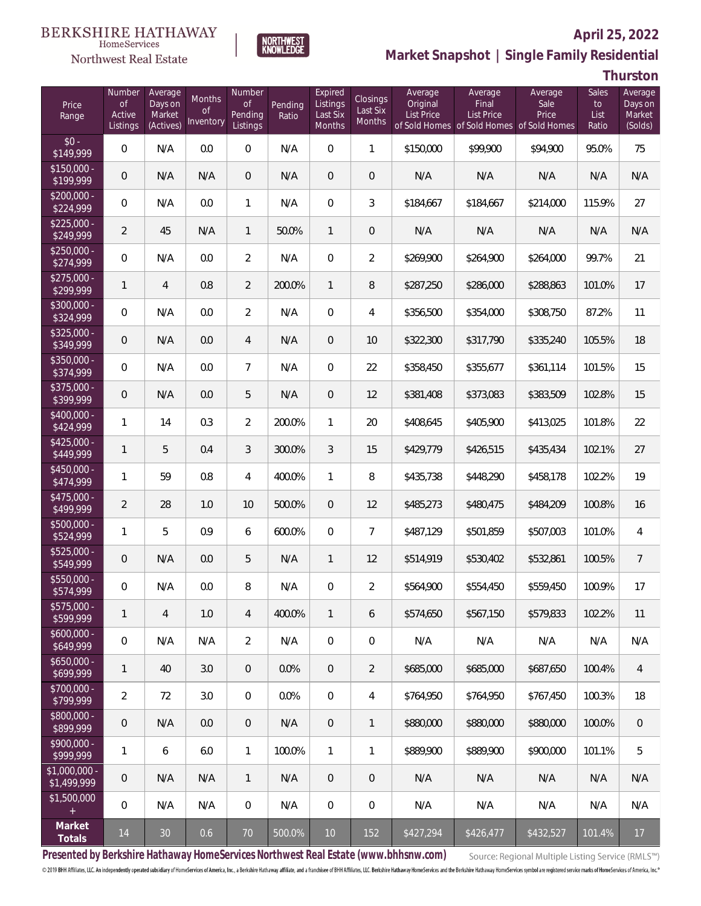#### BERKSHIRE HATHAWAY HomeServices



### **April 25, 2022**



**Thurston**

| Price<br>Range                | Number<br><b>of</b><br>Active<br>Listings | Average<br>Days on<br>Market<br>(Actives) | Months<br>0f<br><b>Inventory</b> | Number<br>Οf<br>Pending<br>Listings | Pending<br>Ratio | Expired<br>Listings<br>Last Six<br>Months | <b>Closings</b><br>Last Six<br>Months | Average<br>Original<br><b>List Price</b> | Average<br>Final<br><b>List Price</b><br>of Sold Homes of Sold Homes of Sold Homes | Average<br>Sale<br>Price | Sales<br>to<br>List<br>Ratio | Average<br>Days on<br>Market<br>(Solds) |
|-------------------------------|-------------------------------------------|-------------------------------------------|----------------------------------|-------------------------------------|------------------|-------------------------------------------|---------------------------------------|------------------------------------------|------------------------------------------------------------------------------------|--------------------------|------------------------------|-----------------------------------------|
| $$0 -$<br>\$149,999           | 0                                         | N/A                                       | 0.0                              | $\overline{0}$                      | N/A              | $\overline{0}$                            | $\mathbf{1}$                          | \$150,000                                | \$99,900                                                                           | \$94,900                 | 95.0%                        | 75                                      |
| $$150,000 -$<br>\$199,999     | 0                                         | N/A                                       | N/A                              | $\overline{0}$                      | N/A              | $\overline{0}$                            | $\mathbf 0$                           | N/A                                      | N/A                                                                                | N/A                      | N/A                          | N/A                                     |
| $$200,000 -$<br>\$224,999     | 0                                         | N/A                                       | 0.0                              | $\mathbf{1}$                        | N/A              | 0                                         | 3                                     | \$184,667                                | \$184,667                                                                          | \$214,000                | 115.9%                       | 27                                      |
| $$225,000 -$<br>\$249,999     | $\overline{2}$                            | 45                                        | N/A                              | $\mathbf{1}$                        | 50.0%            | $\mathbf{1}$                              | $\mathbf 0$                           | N/A                                      | N/A                                                                                | N/A                      | N/A                          | N/A                                     |
| $$250,000 -$<br>\$274,999     | 0                                         | N/A                                       | 0.0                              | $\overline{2}$                      | N/A              | $\overline{0}$                            | $\overline{2}$                        | \$269,900                                | \$264,900                                                                          | \$264,000                | 99.7%                        | 21                                      |
| $$275,000 -$<br>\$299,999     | 1                                         | $\overline{4}$                            | 0.8                              | $\overline{2}$                      | 200.0%           | $\mathbf{1}$                              | 8                                     | \$287,250                                | \$286,000                                                                          | \$288,863                | 101.0%                       | 17                                      |
| $$300,000 -$<br>\$324,999     | 0                                         | N/A                                       | 0.0                              | $\overline{2}$                      | N/A              | 0                                         | 4                                     | \$356,500                                | \$354,000                                                                          | \$308,750                | 87.2%                        | 11                                      |
| $$325,000 -$<br>\$349,999     | 0                                         | N/A                                       | 0.0                              | $\overline{4}$                      | N/A              | $\overline{0}$                            | 10                                    | \$322,300                                | \$317,790                                                                          | \$335,240                | 105.5%                       | 18                                      |
| $$350.000 -$<br>\$374,999     | 0                                         | N/A                                       | 0.0                              | $\overline{7}$                      | N/A              | 0                                         | 22                                    | \$358,450                                | \$355,677                                                                          | \$361,114                | 101.5%                       | 15                                      |
| $$375,000 -$<br>\$399,999     | 0                                         | N/A                                       | 0.0                              | 5                                   | N/A              | $\overline{0}$                            | 12                                    | \$381,408                                | \$373,083                                                                          | \$383,509                | 102.8%                       | 15                                      |
| $$400.000 -$<br>\$424,999     | 1                                         | 14                                        | 0.3                              | $\overline{2}$                      | 200.0%           | $\mathbf{1}$                              | 20                                    | \$408,645                                | \$405,900                                                                          | \$413,025                | 101.8%                       | 22                                      |
| $$425,000 -$<br>\$449,999     | 1                                         | 5                                         | 0.4                              | 3                                   | 300.0%           | 3                                         | 15                                    | \$429,779                                | \$426,515                                                                          | \$435,434                | 102.1%                       | 27                                      |
| $$450,000 -$<br>\$474,999     | 1                                         | 59                                        | 0.8                              | 4                                   | 400.0%           | $\mathbf{1}$                              | 8                                     | \$435,738                                | \$448,290                                                                          | \$458,178                | 102.2%                       | 19                                      |
| $$475,000 -$<br>\$499,999     | $\overline{2}$                            | 28                                        | 1.0                              | 10                                  | 500.0%           | $\overline{0}$                            | 12                                    | \$485,273                                | \$480,475                                                                          | \$484,209                | 100.8%                       | 16                                      |
| $$500,000 -$<br>\$524,999     | 1                                         | 5                                         | 0.9                              | 6                                   | 600.0%           | $\overline{0}$                            | $\overline{7}$                        | \$487,129                                | \$501,859                                                                          | \$507,003                | 101.0%                       | 4                                       |
| $$525,000 -$<br>\$549,999     | 0                                         | N/A                                       | 0.0                              | 5                                   | N/A              | $\mathbf{1}$                              | 12                                    | \$514,919                                | \$530,402                                                                          | \$532,861                | 100.5%                       | $\overline{7}$                          |
| \$550,000 -<br>\$574,999      | 0                                         | N/A                                       | 0.0                              | 8                                   | N/A              | 0                                         | 2                                     | \$564,900                                | \$554,450                                                                          | \$559,450                | 100.9%                       | 17                                      |
| $$575,000 -$<br>\$599,999     | 1                                         | $\overline{4}$                            | 1.0                              | $\overline{4}$                      | 400.0%           | $\mathbf{1}$                              | 6                                     | \$574,650                                | \$567,150                                                                          | \$579,833                | 102.2%                       | 11                                      |
| $$600,000 -$<br>\$649,999     | $\boldsymbol{0}$                          | N/A                                       | N/A                              | $\overline{2}$                      | N/A              | $\overline{0}$                            | $\mathbf 0$                           | N/A                                      | N/A                                                                                | N/A                      | N/A                          | N/A                                     |
| $$650,000 -$<br>\$699,999     | 1                                         | 40                                        | 3.0                              | $\overline{0}$                      | 0.0%             | $\overline{0}$                            | $\overline{2}$                        | \$685,000                                | \$685,000                                                                          | \$687,650                | 100.4%                       | $\overline{4}$                          |
| \$700,000 -<br>\$799,999      | $\overline{2}$                            | 72                                        | 3.0                              | $\overline{0}$                      | 0.0%             | $\overline{0}$                            | 4                                     | \$764,950                                | \$764.950                                                                          | \$767,450                | 100.3%                       | 18                                      |
| \$800,000 -<br>\$899,999      | 0                                         | N/A                                       | 0.0                              | $\overline{0}$                      | N/A              | $\overline{0}$                            | 1                                     | \$880,000                                | \$880,000                                                                          | \$880,000                | 100.0%                       | $\mathbf{0}$                            |
| $$900,000 -$<br>\$999,999     | 1                                         | 6                                         | 6.0                              | $\mathbf{1}$                        | 100.0%           | $\mathbf{1}$                              | 1                                     | \$889,900                                | \$889,900                                                                          | \$900,000                | 101.1%                       | 5                                       |
| $$1,000,000$ -<br>\$1,499,999 | $\mathbf 0$                               | N/A                                       | N/A                              | $\mathbf{1}$                        | N/A              | $\overline{0}$                            | $\overline{0}$                        | N/A                                      | N/A                                                                                | N/A                      | N/A                          | N/A                                     |
| \$1,500,000                   | 0                                         | N/A                                       | N/A                              | $\boldsymbol{0}$                    | N/A              | $\mathbf{0}$                              | $\mathbf 0$                           | N/A                                      | N/A                                                                                | N/A                      | N/A                          | N/A                                     |
| Market<br>Totals              | 14                                        | 30                                        | 0.6                              | $70\,$                              | 500.0%           | 10                                        | 152                                   | \$427,294                                | \$426,477                                                                          | \$432,527                | 101.4%                       | 17                                      |

**NORTHWEST**<br>KNOWLEDGE

**Presented by Berkshire Hathaway HomeServices Northwest Real Estate (www.bhhsnw.com)**

Source: Regional Multiple Listing Service (RMLS™)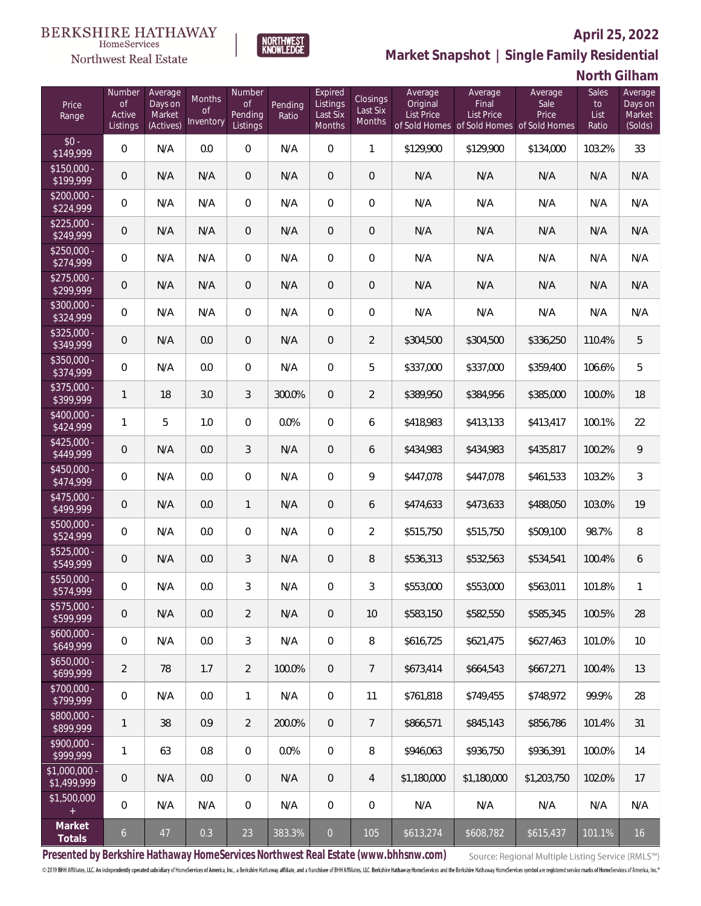

NORTHWEST<br>KNOWLEDGE

Northwest Real Estate

## **Market Snapshot | Single Family Residential**

## **North Gilham**

| Price<br>Range                      | Number<br><b>of</b><br>Active<br>Listings | Average<br>Days on<br>Market<br>(Actives) | Months<br>0f<br>Inventory | Number<br><b>of</b><br>Pending<br>Listings | Pending<br>Ratio | Expired<br>Listings<br>Last Six<br>Months | Closings<br>Last Six<br>Months | Average<br>Original<br>List Price | Average<br>Final<br><b>List Price</b><br>of Sold Homes of Sold Homes of Sold Homes | Average<br>Sale<br>Price | Sales<br>to<br>List<br>Ratio | Average<br>Days on<br>Market<br>(Solds) |
|-------------------------------------|-------------------------------------------|-------------------------------------------|---------------------------|--------------------------------------------|------------------|-------------------------------------------|--------------------------------|-----------------------------------|------------------------------------------------------------------------------------|--------------------------|------------------------------|-----------------------------------------|
| $$0 -$<br>\$149,999                 | $\overline{0}$                            | N/A                                       | 0.0                       | $\overline{0}$                             | N/A              | $\Omega$                                  | $\mathbf{1}$                   | \$129,900                         | \$129,900                                                                          | \$134,000                | 103.2%                       | 33                                      |
| $$150,000 -$<br>\$199,999           | $\overline{0}$                            | N/A                                       | N/A                       | $\overline{0}$                             | N/A              | $\overline{0}$                            | $\overline{0}$                 | N/A                               | N/A                                                                                | N/A                      | N/A                          | N/A                                     |
| $$200,000 -$<br>\$224,999           | $\overline{0}$                            | N/A                                       | N/A                       | $\overline{0}$                             | N/A              | $\Omega$                                  | $\overline{0}$                 | N/A                               | N/A                                                                                | N/A                      | N/A                          | N/A                                     |
| $$225,000 -$<br>\$249,999           | $\boldsymbol{0}$                          | N/A                                       | N/A                       | $\overline{0}$                             | N/A              | $\overline{0}$                            | $\overline{0}$                 | N/A                               | N/A                                                                                | N/A                      | N/A                          | N/A                                     |
| $$250,000 -$<br>\$274,999           | $\overline{0}$                            | N/A                                       | N/A                       | $\overline{0}$                             | N/A              | $\Omega$                                  | $\overline{0}$                 | N/A                               | N/A                                                                                | N/A                      | N/A                          | N/A                                     |
| $$275,000 -$<br>\$299,999           | $\overline{0}$                            | N/A                                       | N/A                       | $\overline{0}$                             | N/A              | $\overline{0}$                            | $\overline{0}$                 | N/A                               | N/A                                                                                | N/A                      | N/A                          | N/A                                     |
| $$300,000 -$<br>\$324,999           | $\overline{0}$                            | N/A                                       | N/A                       | $\overline{0}$                             | N/A              | $\Omega$                                  | $\overline{0}$                 | N/A                               | N/A                                                                                | N/A                      | N/A                          | N/A                                     |
| $$325,000 -$<br>\$349,999           | $\overline{0}$                            | N/A                                       | 0.0                       | $\overline{0}$                             | N/A              | $\overline{0}$                            | $\overline{2}$                 | \$304,500                         | \$304,500                                                                          | \$336,250                | 110.4%                       | 5                                       |
| $$350,000 -$<br>\$374,999           | $\overline{0}$                            | N/A                                       | 0.0                       | $\overline{0}$                             | N/A              | $\Omega$                                  | 5                              | \$337,000                         | \$337,000                                                                          | \$359,400                | 106.6%                       | 5                                       |
| $$375,000 -$<br>\$399,999           | $\mathbf{1}$                              | 18                                        | 3.0                       | 3                                          | 300.0%           | $\Omega$                                  | $\overline{2}$                 | \$389,950                         | \$384,956                                                                          | \$385,000                | 100.0%                       | 18                                      |
| $$400,000 -$<br>\$424,999           | $\mathbf{1}$                              | 5                                         | 1.0                       | $\overline{0}$                             | 0.0%             | $\overline{0}$                            | 6                              | \$418,983                         | \$413,133                                                                          | \$413,417                | 100.1%                       | 22                                      |
| $$425,000 -$<br>\$449,999           | $\overline{0}$                            | N/A                                       | 0.0                       | 3                                          | N/A              | $\overline{0}$                            | 6                              | \$434,983                         | \$434,983                                                                          | \$435,817                | 100.2%                       | 9                                       |
| \$450,000 -<br>\$474,999            | $\mathbf 0$                               | N/A                                       | 0.0                       | $\overline{0}$                             | N/A              | $\overline{0}$                            | 9                              | \$447,078                         | \$447,078                                                                          | \$461,533                | 103.2%                       | $\mathfrak{Z}$                          |
| $$475,000 -$<br>\$499,999           | $\overline{0}$                            | N/A                                       | 0.0                       | $\mathbf{1}$                               | N/A              | $\overline{0}$                            | 6                              | \$474,633                         | \$473,633                                                                          | \$488,050                | 103.0%                       | 19                                      |
| \$500,000 -<br>\$524,999            | $\mathbf 0$                               | N/A                                       | 0.0                       | $\overline{0}$                             | N/A              | $\overline{0}$                            | $\overline{2}$                 | \$515,750                         | \$515,750                                                                          | \$509,100                | 98.7%                        | 8                                       |
| \$525,000 -<br>\$549,999            | $\overline{0}$                            | N/A                                       | 0.0                       | 3                                          | N/A              | $\overline{0}$                            | 8                              | \$536,313                         | \$532,563                                                                          | \$534,541                | 100.4%                       | 6                                       |
| \$550,000 -<br>\$574,999            | $\mathbf 0$                               | N/A                                       | 0.0                       | 3                                          | N/A              | 0                                         | 3                              | \$553,000                         | \$553,000                                                                          | \$563,011                | 101.8%                       | $\mathbf{1}$                            |
| $$575,000 -$<br>\$599,999           | $\mathbf 0$                               | N/A                                       | 0.0                       | $\overline{2}$                             | N/A              | $\mathbf 0$                               | 10                             | \$583,150                         | \$582,550                                                                          | \$585,345                | 100.5%                       | 28                                      |
| $$600,000 -$<br>\$649,999           | 0                                         | N/A                                       | 0.0                       | $\mathfrak{Z}$                             | N/A              | $\boldsymbol{0}$                          | 8                              | \$616,725                         | \$621,475                                                                          | \$627,463                | 101.0%                       | 10                                      |
| $$650,000 -$<br>\$699,999           | $\overline{2}$                            | 78                                        | 1.7                       | $\overline{2}$                             | 100.0%           | $\overline{0}$                            | $\overline{7}$                 | \$673,414                         | \$664,543                                                                          | \$667,271                | 100.4%                       | 13                                      |
| $$700,000 -$<br>\$799,999           | $\mathbf 0$                               | N/A                                       | 0.0                       | $\mathbf{1}$                               | N/A              | 0                                         | 11                             | \$761,818                         | \$749,455                                                                          | \$748,972                | 99.9%                        | 28                                      |
| \$800,000 -<br>\$899,999            | $\mathbf{1}$                              | 38                                        | 0.9                       | $\overline{2}$                             | 200.0%           | $\overline{0}$                            | 7                              | \$866,571                         | \$845,143                                                                          | \$856,786                | 101.4%                       | 31                                      |
| $$900,000 -$<br>\$999,999           | $\mathbf{1}$                              | 63                                        | 0.8                       | 0                                          | 0.0%             | $\boldsymbol{0}$                          | 8                              | \$946,063                         | \$936,750                                                                          | \$936,391                | 100.0%                       | 14                                      |
| $\sqrt{1,000,000}$ -<br>\$1,499,999 | $\mathbf 0$                               | N/A                                       | 0.0                       | $\mathbf 0$                                | N/A              | $\overline{0}$                            | $\overline{4}$                 | \$1,180,000                       | \$1,180,000                                                                        | \$1,203,750              | 102.0%                       | 17                                      |
| \$1,500,000<br>$+$                  | $\overline{0}$                            | N/A                                       | N/A                       | 0                                          | N/A              | $\boldsymbol{0}$                          | $\mathbf 0$                    | N/A                               | N/A                                                                                | N/A                      | N/A                          | N/A                                     |
| Market<br>Totals                    | $\mathfrak{b}$                            | 47                                        | 0.3                       | 23                                         | 383.3%           | $\overline{0}$                            | 105                            | \$613,274                         | \$608,782                                                                          | \$615,437                | 101.1%                       | 16                                      |

**Presented by Berkshire Hathaway HomeServices Northwest Real Estate (www.bhhsnw.com)**

Source: Regional Multiple Listing Service (RMLS™)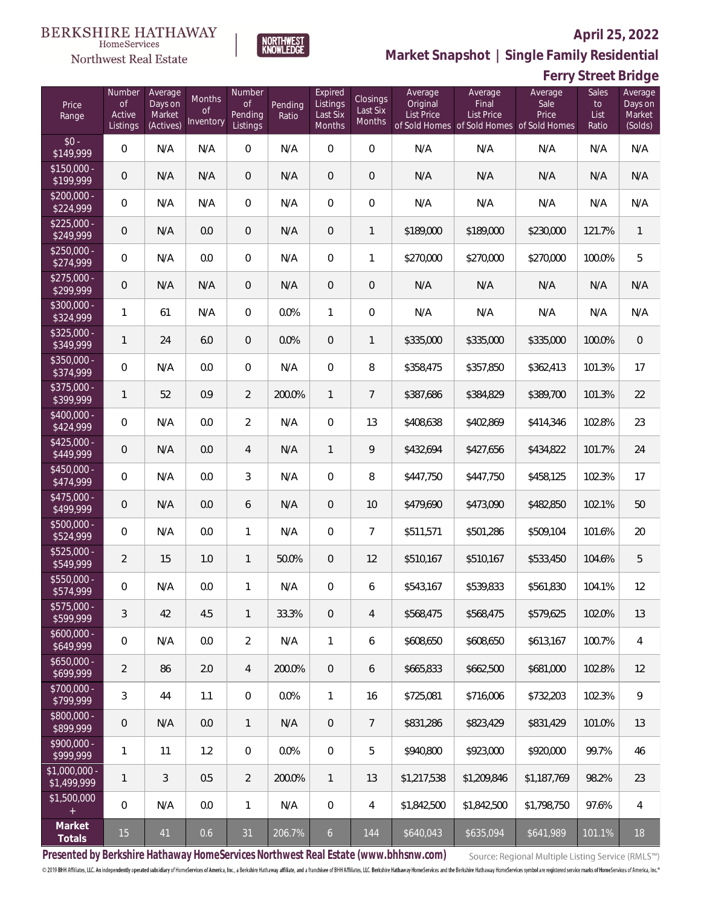

HomeServices Northwest Real Estate

**Market Snapshot | Single Family Residential**

### **Ferry Street Bridge**

| Price<br>Range                    | Number<br><b>of</b><br>Active<br>Listings | Average<br>Days on<br>Market<br>(Actives) | Months<br>0f<br>Inventory | Number<br><b>of</b><br>Pending<br>Listings | Pending<br>Ratio | Expired<br>Listings<br>Last Six<br>Months | Closings<br>Last Six<br>Months | Average<br>Original<br>List Price | Average<br>Final<br><b>List Price</b><br>of Sold Homes of Sold Homes of Sold Homes | Average<br>Sale<br>Price | Sales<br>to<br>List<br>Ratio | Average<br>Days on<br>Market<br>(Solds) |
|-----------------------------------|-------------------------------------------|-------------------------------------------|---------------------------|--------------------------------------------|------------------|-------------------------------------------|--------------------------------|-----------------------------------|------------------------------------------------------------------------------------|--------------------------|------------------------------|-----------------------------------------|
| $$0 -$<br>\$149,999               | $\overline{0}$                            | N/A                                       | N/A                       | $\overline{0}$                             | N/A              | $\Omega$                                  | $\overline{0}$                 | N/A                               | N/A                                                                                | N/A                      | N/A                          | N/A                                     |
| $$150,000 -$<br>\$199,999         | $\overline{0}$                            | N/A                                       | N/A                       | $\overline{0}$                             | N/A              | $\overline{0}$                            | 0                              | N/A                               | N/A                                                                                | N/A                      | N/A                          | N/A                                     |
| $$200,000 -$<br>\$224,999         | 0                                         | N/A                                       | N/A                       | $\overline{0}$                             | N/A              | $\overline{0}$                            | $\overline{0}$                 | N/A                               | N/A                                                                                | N/A                      | N/A                          | N/A                                     |
| $$225,000 -$<br>\$249,999         | $\overline{0}$                            | N/A                                       | 0.0                       | $\overline{0}$                             | N/A              | $\overline{0}$                            | $\mathbf{1}$                   | \$189,000                         | \$189,000                                                                          | \$230,000                | 121.7%                       | $\overline{1}$                          |
| $$250,000 -$<br>\$274,999         | $\overline{0}$                            | N/A                                       | 0.0                       | $\overline{0}$                             | N/A              | $\overline{0}$                            | 1                              | \$270,000                         | \$270,000                                                                          | \$270,000                | 100.0%                       | 5                                       |
| $$275,000 -$<br>\$299,999         | $\overline{0}$                            | N/A                                       | N/A                       | $\overline{0}$                             | N/A              | $\overline{0}$                            | 0                              | N/A                               | N/A                                                                                | N/A                      | N/A                          | N/A                                     |
| $$300,000 -$<br>\$324,999         | $\mathbf{1}$                              | 61                                        | N/A                       | $\overline{0}$                             | 0.0%             | $\mathbf{1}$                              | $\overline{0}$                 | N/A                               | N/A                                                                                | N/A                      | N/A                          | N/A                                     |
| $$325,000 -$<br>\$349,999         | $\mathbf{1}$                              | 24                                        | 6.0                       | $\overline{0}$                             | 0.0%             | $\overline{0}$                            | $\mathbf{1}$                   | \$335,000                         | \$335,000                                                                          | \$335,000                | 100.0%                       | $\mathbf 0$                             |
| $$350,000 -$<br>\$374,999         | 0                                         | N/A                                       | 0.0                       | $\overline{0}$                             | N/A              | $\Omega$                                  | 8                              | \$358,475                         | \$357,850                                                                          | \$362,413                | 101.3%                       | 17                                      |
| $$375,000 -$<br>$\sqrt{$399,999}$ | $\mathbf{1}$                              | 52                                        | 0.9                       | $\overline{2}$                             | 200.0%           | $\mathbf{1}$                              | $\overline{7}$                 | \$387,686                         | \$384,829                                                                          | \$389,700                | 101.3%                       | 22                                      |
| $$400,000 -$<br>\$424,999         | 0                                         | N/A                                       | 0.0                       | $\overline{2}$                             | N/A              | $\Omega$                                  | 13                             | \$408,638                         | \$402,869                                                                          | \$414,346                | 102.8%                       | 23                                      |
| $$425,000 -$<br>\$449,999         | $\overline{0}$                            | N/A                                       | 0.0                       | $\overline{4}$                             | N/A              | $\mathbf{1}$                              | 9                              | \$432,694                         | \$427,656                                                                          | \$434,822                | 101.7%                       | 24                                      |
| $$450,000 -$<br>\$474,999         | 0                                         | N/A                                       | 0.0                       | 3                                          | N/A              | $\mathbf 0$                               | 8                              | \$447,750                         | \$447,750                                                                          | \$458,125                | 102.3%                       | 17                                      |
| $$475,000 -$<br>\$499,999         | $\overline{0}$                            | N/A                                       | 0.0                       | 6                                          | N/A              | $\overline{0}$                            | 10                             | \$479,690                         | \$473,090                                                                          | \$482,850                | 102.1%                       | 50                                      |
| \$500,000 -<br>\$524,999          | 0                                         | N/A                                       | 0.0                       | $\mathbf{1}$                               | N/A              | $\mathbf 0$                               | $\overline{7}$                 | \$511,571                         | \$501,286                                                                          | \$509,104                | 101.6%                       | 20                                      |
| $$525,000 -$<br>\$549,999         | $\overline{2}$                            | 15                                        | 1.0                       | $\mathbf{1}$                               | 50.0%            | $\overline{0}$                            | 12                             | \$510,167                         | \$510,167                                                                          | \$533,450                | 104.6%                       | 5                                       |
| \$550,000 -<br>\$574,999          | 0                                         | N/A                                       | 0.0                       | $\mathbf{1}$                               | N/A              | $\overline{0}$                            | 6                              | \$543,167                         | \$539,833                                                                          | \$561,830                | 104.1%                       | 12                                      |
| $$575,000 -$<br>\$599,999         | 3                                         | 42                                        | 4.5                       | $\mathbf{1}$                               | 33.3%            | $\mathbf 0$                               | 4                              | \$568,475                         | \$568,475                                                                          | \$579,625                | 102.0%                       | 13                                      |
| $$600,000 -$<br>\$649,999         | $\boldsymbol{0}$                          | N/A                                       | 0.0                       | $\overline{2}$                             | N/A              | $\mathbf{1}$                              | 6                              | \$608,650                         | \$608,650                                                                          | \$613,167                | 100.7%                       | 4                                       |
| $$650,000 -$<br>\$699,999         | $\overline{2}$                            | 86                                        | 2.0                       | $\overline{4}$                             | 200.0%           | $\overline{0}$                            | 6                              | \$665,833                         | \$662,500                                                                          | \$681,000                | 102.8%                       | 12                                      |
| $$700,000 -$<br>\$799,999         | 3                                         | 44                                        | 1.1                       | 0                                          | 0.0%             | $\mathbf{1}$                              | 16                             | \$725,081                         | \$716,006                                                                          | \$732,203                | 102.3%                       | $\mathcal{G}$                           |
| $$800,000 -$<br>\$899,999         | 0                                         | N/A                                       | 0.0                       | $\mathbf{1}$                               | N/A              | $\theta$                                  | $\overline{7}$                 | \$831,286                         | \$823,429                                                                          | \$831,429                | 101.0%                       | 13                                      |
| $$900,000 -$<br>\$999,999         | 1                                         | 11                                        | 1.2                       | 0                                          | 0.0%             | $\mathbf 0$                               | 5                              | \$940,800                         | \$923,000                                                                          | \$920,000                | 99.7%                        | 46                                      |
| \$1,000,000 -<br>\$1,499,999      | $\mathbf{1}$                              | 3                                         | 0.5                       | $\overline{2}$                             | 200.0%           | $\mathbf{1}$                              | 13                             | \$1,217,538                       | \$1,209,846                                                                        | \$1,187,769              | 98.2%                        | 23                                      |
| \$1,500,000<br>$+$                | $\mathbf 0$                               | N/A                                       | 0.0                       | $\mathbf{1}$                               | N/A              | $\overline{0}$                            | 4                              | \$1,842,500                       | \$1,842,500                                                                        | \$1,798,750              | 97.6%                        | 4                                       |
| Market<br>Totals                  | $15\,$                                    | 41                                        | 0.6                       | 31                                         | 206.7%           | 6 <sup>1</sup>                            | 144                            | \$640,043                         | \$635,094                                                                          | \$641,989                | 101.1%                       | 18                                      |

**Presented by Berkshire Hathaway HomeServices Northwest Real Estate (www.bhhsnw.com)**

Source: Regional Multiple Listing Service (RMLS™)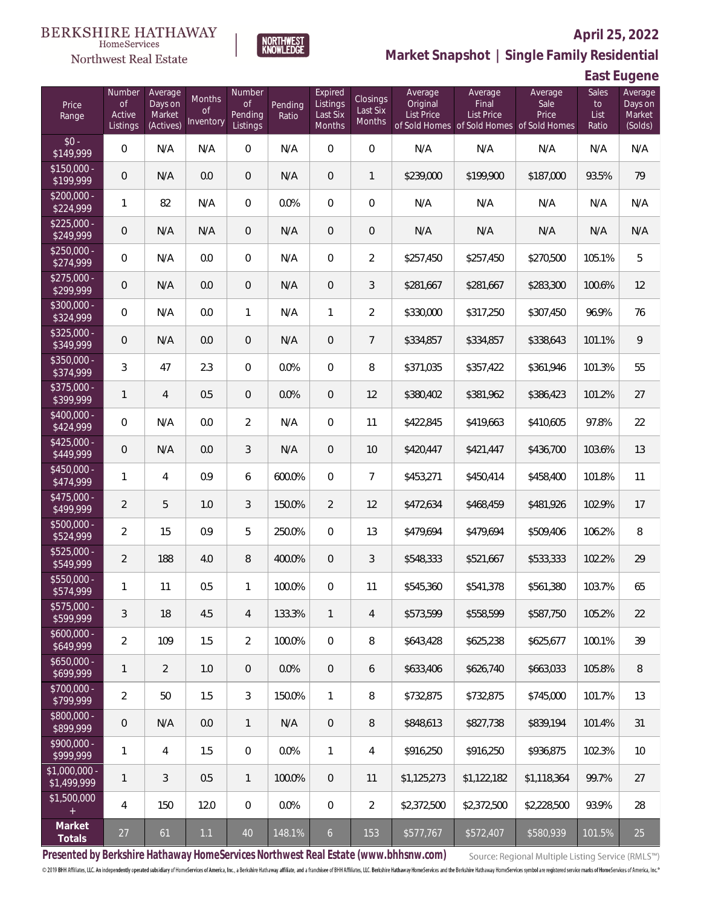

**NORTHWEST**<br>KNOWLEDGE

Northwest Real Estate

### **Market Snapshot | Single Family Residential**

**East Eugene**

| Price<br>Range                | Number<br>of<br>Active<br>Listings | Average<br>Days on<br>Market<br>(Actives) | Months<br>Οf<br>Inventory | Number<br>Οf<br>Pending<br>Listings | Pending<br>Ratio | Expired<br>Listings<br>Last Six<br>Months | Closings<br>Last Six<br><b>Months</b> | Average<br>Original<br><b>List Price</b> | Average<br>Final<br><b>List Price</b><br>of Sold Homes of Sold Homes of Sold Homes | Average<br>Sale<br>Price | Sales<br>to<br>List<br>Ratio | Average<br>Days on<br>Market<br>(Solds) |
|-------------------------------|------------------------------------|-------------------------------------------|---------------------------|-------------------------------------|------------------|-------------------------------------------|---------------------------------------|------------------------------------------|------------------------------------------------------------------------------------|--------------------------|------------------------------|-----------------------------------------|
| $$0 -$<br>\$149,999           | $\overline{0}$                     | N/A                                       | N/A                       | $\overline{0}$                      | N/A              | $\overline{0}$                            | $\overline{0}$                        | N/A                                      | N/A                                                                                | N/A                      | N/A                          | N/A                                     |
| $$150.000 -$<br>\$199,999     | 0                                  | N/A                                       | 0.0                       | $\overline{0}$                      | N/A              | $\mathbf 0$                               | $\mathbf{1}$                          | \$239,000                                | \$199,900                                                                          | \$187,000                | 93.5%                        | 79                                      |
| $$200,000 -$<br>\$224,999     | 1                                  | 82                                        | N/A                       | $\overline{0}$                      | 0.0%             | $\overline{0}$                            | $\mathbf 0$                           | N/A                                      | N/A                                                                                | N/A                      | N/A                          | N/A                                     |
| $$225,000 -$<br>\$249,999     | 0                                  | N/A                                       | N/A                       | $\overline{0}$                      | N/A              | $\mathbf 0$                               | $\mathbf 0$                           | N/A                                      | N/A                                                                                | N/A                      | N/A                          | N/A                                     |
| $$250,000 -$<br>\$274,999     | $\mathbf 0$                        | N/A                                       | 0.0                       | $\overline{0}$                      | N/A              | $\overline{0}$                            | $\overline{2}$                        | \$257,450                                | \$257,450                                                                          | \$270,500                | 105.1%                       | 5                                       |
| $$275,000 -$<br>\$299,999     | 0                                  | N/A                                       | 0.0                       | $\overline{0}$                      | N/A              | $\overline{0}$                            | 3                                     | \$281,667                                | \$281,667                                                                          | \$283,300                | 100.6%                       | 12                                      |
| \$300,000 -<br>\$324,999      | $\mathbf 0$                        | N/A                                       | 0.0                       | $\mathbf{1}$                        | N/A              | $\mathbf{1}$                              | $\overline{2}$                        | \$330,000                                | \$317,250                                                                          | \$307,450                | 96.9%                        | 76                                      |
| $$325,000 -$<br>\$349,999     | 0                                  | N/A                                       | 0.0                       | $\overline{0}$                      | N/A              | $\overline{0}$                            | $\overline{7}$                        | \$334,857                                | \$334,857                                                                          | \$338,643                | 101.1%                       | 9                                       |
| $$350,000 -$<br>\$374,999     | 3                                  | 47                                        | 2.3                       | $\overline{0}$                      | 0.0%             | $\overline{0}$                            | 8                                     | \$371,035                                | \$357,422                                                                          | \$361,946                | 101.3%                       | 55                                      |
| $$375,000 -$<br>\$399,999     | 1                                  | $\overline{4}$                            | 0.5                       | $\overline{0}$                      | 0.0%             | $\overline{0}$                            | 12                                    | \$380,402                                | \$381,962                                                                          | \$386,423                | 101.2%                       | 27                                      |
| \$400,000 -<br>\$424,999      | $\mathbf 0$                        | N/A                                       | 0.0                       | $\overline{2}$                      | N/A              | $\overline{0}$                            | 11                                    | \$422,845                                | \$419,663                                                                          | \$410,605                | 97.8%                        | 22                                      |
| $$425,000 -$<br>\$449,999     | 0                                  | N/A                                       | 0.0                       | 3                                   | N/A              | $\overline{0}$                            | 10                                    | \$420,447                                | \$421,447                                                                          | \$436,700                | 103.6%                       | 13                                      |
| \$450,000 -<br>\$474,999      | 1                                  | $\overline{4}$                            | 0.9                       | 6                                   | 600.0%           | $\overline{0}$                            | $\overline{7}$                        | \$453,271                                | \$450,414                                                                          | \$458,400                | 101.8%                       | 11                                      |
| $$475,000 -$<br>\$499,999     | 2                                  | 5                                         | 1.0                       | 3                                   | 150.0%           | $\overline{2}$                            | 12                                    | \$472,634                                | \$468,459                                                                          | \$481,926                | 102.9%                       | 17                                      |
| \$500,000 -<br>\$524,999      | $\overline{2}$                     | 15                                        | 0.9                       | 5                                   | 250.0%           | $\overline{0}$                            | 13                                    | \$479,694                                | \$479,694                                                                          | \$509,406                | 106.2%                       | 8                                       |
| $$525,000 -$<br>\$549,999     | $\overline{2}$                     | 188                                       | 4.0                       | $\, 8$                              | 400.0%           | $\overline{0}$                            | 3                                     | \$548,333                                | \$521,667                                                                          | \$533,333                | 102.2%                       | 29                                      |
| \$550,000 -<br>\$574,999      | 1                                  | 11                                        | 0.5                       | $\mathbf{1}$                        | 100.0%           | $\mathbf{0}$                              | 11                                    | \$545,360                                | \$541,378                                                                          | \$561,380                | 103.7%                       | 65                                      |
| $$575,000 -$<br>\$599,999     | 3                                  | 18                                        | 4.5                       | $\overline{4}$                      | 133.3%           | $\mathbf{1}$                              | $\overline{4}$                        | \$573,599                                | \$558,599                                                                          | \$587,750                | 105.2%                       | 22                                      |
| $$600,000 -$<br>\$649,999     | $\overline{2}$                     | 109                                       | 1.5                       | $\overline{2}$                      | 100.0%           | $\mathbf{0}$                              | 8                                     | \$643,428                                | \$625,238                                                                          | \$625,677                | 100.1%                       | 39                                      |
| $$650,000 -$<br>\$699,999     | 1                                  | $\overline{2}$                            | 1.0                       | $\overline{0}$                      | 0.0%             | $\overline{0}$                            | 6                                     | \$633,406                                | \$626,740                                                                          | \$663,033                | 105.8%                       | 8                                       |
| $$700,000 -$<br>\$799,999     | 2                                  | 50                                        | 1.5                       | 3                                   | 150.0%           | $\mathbf{1}$                              | 8                                     | \$732,875                                | \$732,875                                                                          | \$745,000                | 101.7%                       | 13                                      |
| \$800,000 -<br>\$899,999      | $\overline{0}$                     | N/A                                       | 0.0                       | $\mathbf{1}$                        | N/A              | $\overline{0}$                            | 8                                     | \$848,613                                | \$827,738                                                                          | \$839,194                | 101.4%                       | 31                                      |
| $$900,000 -$<br>\$999,999     | 1                                  | $\overline{4}$                            | 1.5                       | $\overline{0}$                      | 0.0%             | $\mathbf{1}$                              | 4                                     | \$916,250                                | \$916,250                                                                          | \$936,875                | 102.3%                       | 10                                      |
| $$1,000,000 -$<br>\$1,499,999 | 1                                  | 3                                         | 0.5                       | $\mathbf{1}$                        | 100.0%           | $\overline{0}$                            | 11                                    | \$1,125,273                              | \$1,122,182                                                                        | \$1,118,364              | 99.7%                        | 27                                      |
| \$1,500,000                   | 4                                  | 150                                       | 12.0                      | $\mathbf 0$                         | 0.0%             | 0                                         | $\overline{2}$                        | \$2,372,500                              | \$2,372,500                                                                        | \$2,228,500              | 93.9%                        | 28                                      |
| Market<br>Totals              | 27                                 | 61                                        | 1.1                       | 40                                  | 148.1%           | $\mathfrak{b}$                            | 153                                   | \$577,767                                | \$572,407                                                                          | \$580,939                | 101.5%                       | 25                                      |

**Presented by Berkshire Hathaway HomeServices Northwest Real Estate (www.bhhsnw.com)**

Source: Regional Multiple Listing Service (RMLS™)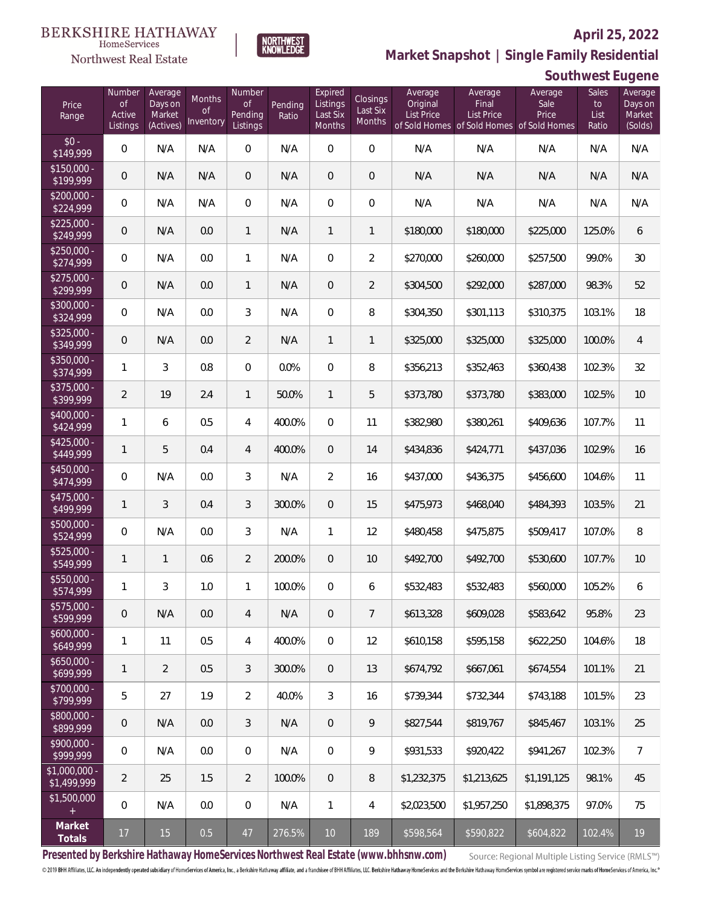

HomeServices Northwest Real Estate

**Market Snapshot | Single Family Residential**

### **Southwest Eugene**

| Price<br>Range                                  | Number<br><b>of</b><br>Active<br>Listings | Average<br>Days on<br>Market<br>(Actives) | Months<br><b>of</b><br>Inventory | Number<br>of<br>Pending<br>Listings | Pending<br>Ratio | Expired<br>Listings<br>Last Six<br>Months | Closings<br>Last Six<br>Months | Average<br>Original<br><b>List Price</b> | Average<br>Final<br>List Price<br>of Sold Homes of Sold Homes of Sold Homes | Average<br>Sale<br>Price | <b>Sales</b><br>to<br>List<br>Ratio | Average<br>Days on<br>Market<br>(Solds) |
|-------------------------------------------------|-------------------------------------------|-------------------------------------------|----------------------------------|-------------------------------------|------------------|-------------------------------------------|--------------------------------|------------------------------------------|-----------------------------------------------------------------------------|--------------------------|-------------------------------------|-----------------------------------------|
| $$0 -$<br>\$149,999                             | $\overline{0}$                            | N/A                                       | N/A                              | $\overline{0}$                      | N/A              | $\Omega$                                  | $\overline{0}$                 | N/A                                      | N/A                                                                         | N/A                      | N/A                                 | N/A                                     |
| $$150,000 -$<br>\$199,999                       | $\overline{0}$                            | N/A                                       | N/A                              | $\overline{0}$                      | N/A              | $\overline{0}$                            | $\overline{0}$                 | N/A                                      | N/A                                                                         | N/A                      | N/A                                 | N/A                                     |
| $$200,000 -$<br>\$224,999                       | $\overline{0}$                            | N/A                                       | N/A                              | $\overline{0}$                      | N/A              | $\overline{0}$                            | $\mathbf{0}$                   | N/A                                      | N/A                                                                         | N/A                      | N/A                                 | N/A                                     |
| $$225,000 -$<br>\$249,999                       | $\overline{0}$                            | N/A                                       | 0.0                              | $\mathbf{1}$                        | N/A              | $\mathbf{1}$                              | $\mathbf{1}$                   | \$180,000                                | \$180,000                                                                   | \$225,000                | 125.0%                              | 6                                       |
| $$250,000 -$<br>\$274,999                       | $\overline{0}$                            | N/A                                       | 0.0                              | $\mathbf{1}$                        | N/A              | $\mathbf 0$                               | $\overline{2}$                 | \$270,000                                | \$260,000                                                                   | \$257,500                | 99.0%                               | 30                                      |
| $$275,000 -$<br>$\sqrt{$299,999}$               | $\overline{0}$                            | N/A                                       | 0.0                              | 1                                   | N/A              | $\overline{0}$                            | $\overline{2}$                 | \$304,500                                | \$292,000                                                                   | \$287,000                | 98.3%                               | 52                                      |
| \$300,000 -<br>\$324,999                        | $\overline{0}$                            | N/A                                       | 0.0                              | 3                                   | N/A              | $\Omega$                                  | 8                              | \$304,350                                | \$301,113                                                                   | \$310,375                | 103.1%                              | 18                                      |
| $$325,000 -$<br>\$349,999                       | $\overline{0}$                            | N/A                                       | 0.0                              | $\overline{2}$                      | N/A              | $\mathbf{1}$                              | 1                              | \$325,000                                | \$325,000                                                                   | \$325,000                | 100.0%                              | $\overline{4}$                          |
| $$350,000 -$<br>\$374,999                       | $\mathbf{1}$                              | 3                                         | 0.8                              | $\Omega$                            | 0.0%             | $\mathbf{0}$                              | 8                              | \$356,213                                | \$352,463                                                                   | \$360,438                | 102.3%                              | 32                                      |
| \$375,000 -<br>\$399,999                        | $\overline{2}$                            | 19                                        | 2.4                              | $\mathbf{1}$                        | 50.0%            | $\mathbf{1}$                              | 5                              | \$373,780                                | \$373,780                                                                   | \$383,000                | 102.5%                              | 10 <sup>°</sup>                         |
| $$400,000 -$<br>\$424,999                       | $\mathbf{1}$                              | 6                                         | 0.5                              | 4                                   | 400.0%           | $\Omega$                                  | 11                             | \$382,980                                | \$380,261                                                                   | \$409,636                | 107.7%                              | 11                                      |
| $$425,000 -$<br>\$449,999                       | $\mathbf{1}$                              | 5                                         | 0.4                              | 4                                   | 400.0%           | $\overline{0}$                            | 14                             | \$434,836                                | \$424,771                                                                   | \$437,036                | 102.9%                              | 16                                      |
| \$450,000 -<br>\$474,999                        | $\overline{0}$                            | N/A                                       | 0.0                              | 3                                   | N/A              | $\overline{2}$                            | 16                             | \$437,000                                | \$436,375                                                                   | \$456,600                | 104.6%                              | 11                                      |
| $$475,000 -$<br>\$499,999                       | $\mathbf{1}$                              | 3                                         | 0.4                              | 3                                   | 300.0%           | $\overline{0}$                            | 15                             | \$475,973                                | \$468,040                                                                   | \$484,393                | 103.5%                              | 21                                      |
| $$500,000 -$<br>\$524,999                       | 0                                         | N/A                                       | 0.0                              | 3                                   | N/A              | $\mathbf{1}$                              | 12                             | \$480,458                                | \$475,875                                                                   | \$509,417                | 107.0%                              | 8                                       |
| $$525,000 -$<br>\$549,999                       | $\mathbf{1}$                              | $\mathbf{1}$                              | 0.6                              | $\overline{2}$                      | 200.0%           | $\overline{0}$                            | 10                             | \$492,700                                | \$492,700                                                                   | \$530,600                | 107.7%                              | 10 <sup>°</sup>                         |
| $$550,000 -$<br>\$574,999                       | $\mathbf{1}$                              | 3                                         | 1.0                              | 1                                   | 100.0%           | $\overline{0}$                            | 6                              | \$532,483                                | \$532,483                                                                   | \$560,000                | 105.2%                              | 6                                       |
| \$575,000 -<br>\$599,999                        | 0                                         | N/A                                       | 0.0                              | 4                                   | N/A              | $\overline{0}$                            | $\overline{7}$                 | \$613,328                                | \$609,028                                                                   | \$583,642                | 95.8%                               | 23                                      |
| $$600,000 -$<br>\$649,999                       | $\mathbf{1}$                              | 11                                        | 0.5                              | $\overline{4}$                      | 400.0%           | $\overline{0}$                            | 12                             | \$610,158                                | \$595,158                                                                   | \$622,250                | 104.6%                              | 18                                      |
| $$650,000 -$<br>\$699,999                       | $\mathbf{1}$                              | $\overline{2}$                            | 0.5                              | 3                                   | 300.0%           | $\overline{0}$                            | 13                             | \$674,792                                | \$667,061                                                                   | \$674,554                | 101.1%                              | 21                                      |
| $$700,000 -$<br>\$799,999                       | 5                                         | 27                                        | 1.9                              | $\overline{2}$                      | 40.0%            | 3                                         | 16                             | \$739,344                                | \$732,344                                                                   | \$743,188                | 101.5%                              | 23                                      |
| \$800,000 -<br>\$899,999                        | 0                                         | N/A                                       | 0.0                              | 3                                   | N/A              | $\overline{0}$                            | 9                              | \$827,544                                | \$819,767                                                                   | \$845,467                | 103.1%                              | 25                                      |
| \$900,000 -<br>\$999,999                        | $\mathbf 0$                               | N/A                                       | 0.0                              | 0                                   | N/A              | $\sqrt{0}$                                | 9                              | \$931,533                                | \$920,422                                                                   | \$941,267                | 102.3%                              | $7\overline{ }$                         |
| \$1,000,000 -<br>\$1,499,999                    | $\overline{2}$                            | 25                                        | 1.5                              | $\overline{2}$                      | 100.0%           | $\overline{0}$                            | $8\,$                          | \$1,232,375                              | \$1,213,625                                                                 | \$1,191,125              | 98.1%                               | 45                                      |
| \$1,500,000<br>$\begin{array}{c} + \end{array}$ | $\mathbf 0$                               | N/A                                       | 0.0                              | 0                                   | N/A              | $\mathbf{1}$                              | 4                              | \$2,023,500                              | \$1,957,250                                                                 | \$1,898,375              | 97.0%                               | 75                                      |
| Market<br>Totals                                | 17                                        | 15                                        | 0.5                              | $47\,$                              | 276.5%           | 10                                        | 189                            | \$598,564                                | \$590,822                                                                   | \$604,822                | 102.4%                              | $19$                                    |

**Presented by Berkshire Hathaway HomeServices Northwest Real Estate (www.bhhsnw.com)**

Source: Regional Multiple Listing Service (RMLS™)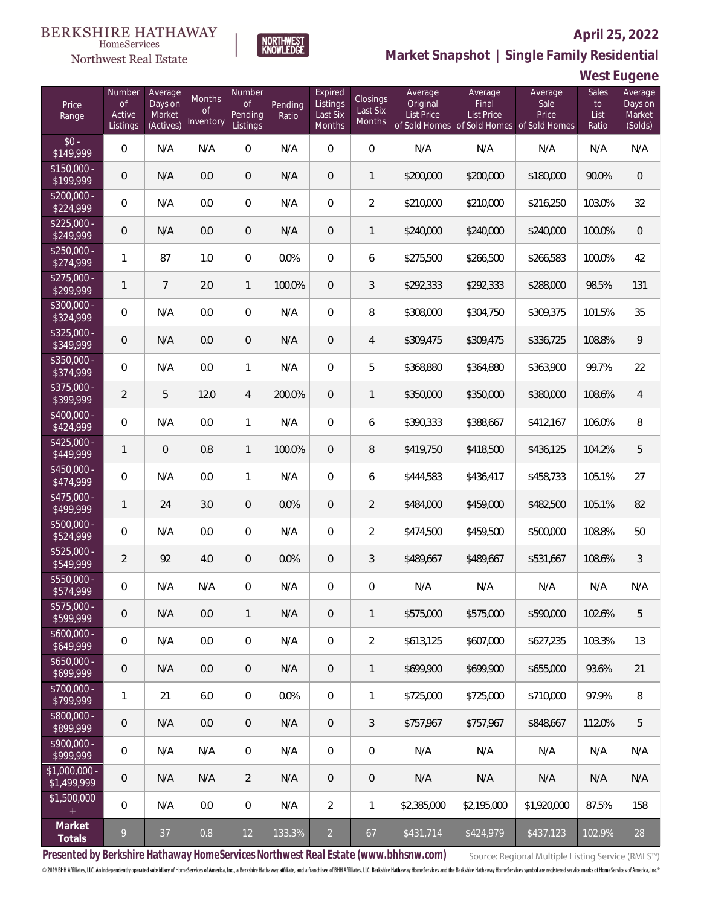#### **BERKSHIRE HATHAWAY** HomeServices

### Northwest Real Estate

### **April 25, 2022**



**West Eugene**

| Price<br>Range                | Number<br>$\mathsf{of}$<br>Active<br>Listings | Average<br>Days on<br>Market<br>(Actives) | Months<br><b>of</b><br>Inventory | Number<br><b>of</b><br>Pending<br>Listings | Pending<br>Ratio | Expired<br>Listings<br>Last Six<br><b>Months</b> | Closings<br>Last Six<br>Months | Average<br>Original<br>List Price | Average<br>Final<br><b>List Price</b><br>of Sold Homes of Sold Homes of Sold Homes | Average<br>Sale<br>Price | Sales<br>to<br>List<br>Ratio | Average<br>Days on<br>Market<br>(Solds) |
|-------------------------------|-----------------------------------------------|-------------------------------------------|----------------------------------|--------------------------------------------|------------------|--------------------------------------------------|--------------------------------|-----------------------------------|------------------------------------------------------------------------------------|--------------------------|------------------------------|-----------------------------------------|
| $$0 -$<br>\$149,999           | 0                                             | N/A                                       | N/A                              | $\overline{0}$                             | N/A              | $\overline{0}$                                   | $\mathbf 0$                    | N/A                               | N/A                                                                                | N/A                      | N/A                          | N/A                                     |
| $$150.000 -$<br>\$199,999     | 0                                             | N/A                                       | 0.0                              | $\overline{0}$                             | N/A              | $\overline{0}$                                   | $\mathbf{1}$                   | \$200,000                         | \$200,000                                                                          | \$180,000                | 90.0%                        | $\overline{0}$                          |
| $$200,000 -$<br>\$224,999     | 0                                             | N/A                                       | 0.0                              | $\overline{0}$                             | N/A              | $\overline{0}$                                   | $\overline{2}$                 | \$210,000                         | \$210,000                                                                          | \$216,250                | 103.0%                       | 32                                      |
| $$225.000 -$<br>\$249,999     | 0                                             | N/A                                       | 0.0                              | $\overline{0}$                             | N/A              | $\overline{0}$                                   | $\mathbf{1}$                   | \$240,000                         | \$240,000                                                                          | \$240,000                | 100.0%                       | $\mathbf 0$                             |
| $$250,000 -$<br>\$274,999     | 1                                             | 87                                        | 1.0                              | $\overline{0}$                             | 0.0%             | $\overline{0}$                                   | 6                              | \$275,500                         | \$266,500                                                                          | \$266,583                | 100.0%                       | 42                                      |
| $$275,000 -$<br>\$299,999     | 1                                             | $\overline{7}$                            | 2.0                              | $\mathbf{1}$                               | 100.0%           | $\overline{0}$                                   | 3                              | \$292,333                         | \$292,333                                                                          | \$288,000                | 98.5%                        | 131                                     |
| \$300,000 -<br>\$324,999      | 0                                             | N/A                                       | 0.0                              | $\overline{0}$                             | N/A              | $\overline{0}$                                   | 8                              | \$308,000                         | \$304,750                                                                          | \$309,375                | 101.5%                       | 35                                      |
| $$325,000 -$<br>\$349,999     | 0                                             | N/A                                       | 0.0                              | $\overline{0}$                             | N/A              | $\overline{0}$                                   | $\overline{4}$                 | \$309,475                         | \$309,475                                                                          | \$336,725                | 108.8%                       | 9                                       |
| \$350,000 -<br>\$374,999      | 0                                             | N/A                                       | 0.0                              | $\mathbf{1}$                               | N/A              | $\overline{0}$                                   | 5                              | \$368,880                         | \$364,880                                                                          | \$363,900                | 99.7%                        | 22                                      |
| \$375,000 -<br>\$399,999      | $\overline{2}$                                | 5                                         | 12.0                             | $\overline{4}$                             | 200.0%           | $\overline{0}$                                   | $\mathbf{1}$                   | \$350,000                         | \$350,000                                                                          | \$380,000                | 108.6%                       | 4                                       |
| \$400,000 -<br>\$424,999      | 0                                             | N/A                                       | 0.0                              | 1                                          | N/A              | $\overline{0}$                                   | 6                              | \$390,333                         | \$388,667                                                                          | \$412,167                | 106.0%                       | 8                                       |
| $$425,000 -$<br>\$449,999     | 1                                             | $\overline{0}$                            | 0.8                              | $\mathbf{1}$                               | 100.0%           | $\overline{0}$                                   | 8                              | \$419,750                         | \$418,500                                                                          | \$436,125                | 104.2%                       | 5                                       |
| \$450,000 -<br>\$474,999      | 0                                             | N/A                                       | 0.0                              | $\mathbf{1}$                               | N/A              | $\overline{0}$                                   | 6                              | \$444,583                         | \$436,417                                                                          | \$458,733                | 105.1%                       | 27                                      |
| \$475,000 -<br>\$499,999      | 1                                             | 24                                        | 3.0                              | $\overline{0}$                             | 0.0%             | $\overline{0}$                                   | $\overline{2}$                 | \$484,000                         | \$459,000                                                                          | \$482,500                | 105.1%                       | 82                                      |
| \$500,000 -<br>\$524,999      | 0                                             | N/A                                       | 0.0                              | $\overline{0}$                             | N/A              | $\overline{0}$                                   | $\overline{2}$                 | \$474,500                         | \$459,500                                                                          | \$500,000                | 108.8%                       | 50                                      |
| \$525,000 -<br>\$549,999      | $\overline{2}$                                | 92                                        | 4.0                              | $\mathbf 0$                                | 0.0%             | $\overline{0}$                                   | 3                              | \$489,667                         | \$489,667                                                                          | \$531,667                | 108.6%                       | 3                                       |
| \$550,000 -<br>\$574,999      | 0                                             | N/A                                       | N/A                              | 0                                          | N/A              | $\overline{0}$                                   | $\mathbf 0$                    | N/A                               | N/A                                                                                | N/A                      | N/A                          | N/A                                     |
| $$575,000 -$<br>\$599,999     | 0                                             | N/A                                       | 0.0                              | $\mathbf{1}$                               | N/A              | $\overline{0}$                                   | 1                              | \$575,000                         | \$575,000                                                                          | \$590,000                | 102.6%                       | 5                                       |
| $$600,000 -$<br>\$649,999     | 0                                             | N/A                                       | 0.0                              | $\mathbf{0}$                               | N/A              | $\overline{0}$                                   | $\overline{2}$                 | \$613,125                         | \$607,000                                                                          | \$627,235                | 103.3%                       | 13                                      |
| $$650,000 -$<br>\$699,999     | 0                                             | N/A                                       | 0.0                              | $\overline{0}$                             | N/A              | $\overline{0}$                                   | $\mathbf{1}$                   | \$699,900                         | \$699,900                                                                          | \$655,000                | 93.6%                        | 21                                      |
| $$700,000 -$<br>\$799,999     | 1                                             | 21                                        | 6.0                              | $\overline{0}$                             | 0.0%             | $\overline{0}$                                   | $\mathbf{1}$                   | \$725,000                         | \$725,000                                                                          | \$710,000                | 97.9%                        | 8                                       |
| \$800,000 -<br>\$899,999      | 0                                             | N/A                                       | 0.0                              | $\overline{0}$                             | N/A              | $\overline{0}$                                   | 3                              | \$757,967                         | \$757,967                                                                          | \$848.667                | 112.0%                       | 5                                       |
| $$900,000 -$<br>\$999,999     | 0                                             | N/A                                       | N/A                              | $\overline{0}$                             | N/A              | $\overline{0}$                                   | $\mathbf 0$                    | N/A                               | N/A                                                                                | N/A                      | N/A                          | N/A                                     |
| $$1,000,000 -$<br>\$1,499,999 | 0                                             | N/A                                       | N/A                              | $\overline{2}$                             | N/A              | $\sqrt{0}$                                       | $\theta$                       | N/A                               | N/A                                                                                | N/A                      | N/A                          | N/A                                     |
| \$1,500,000                   | 0                                             | N/A                                       | 0.0                              | $\mathbf 0$                                | N/A              | $\overline{2}$                                   | 1                              | \$2,385,000                       | \$2,195,000                                                                        | \$1,920,000              | 87.5%                        | 158                                     |
| Market<br>Totals              | 9                                             | 37                                        | 0.8                              | 12                                         | 133.3%           | $\overline{2}$                                   | 67                             | \$431,714                         | \$424,979                                                                          | \$437,123                | 102.9%                       | 28                                      |

**NORTHWEST**<br>KNOWLEDGE

**Presented by Berkshire Hathaway HomeServices Northwest Real Estate (www.bhhsnw.com)**

Source: Regional Multiple Listing Service (RMLS™)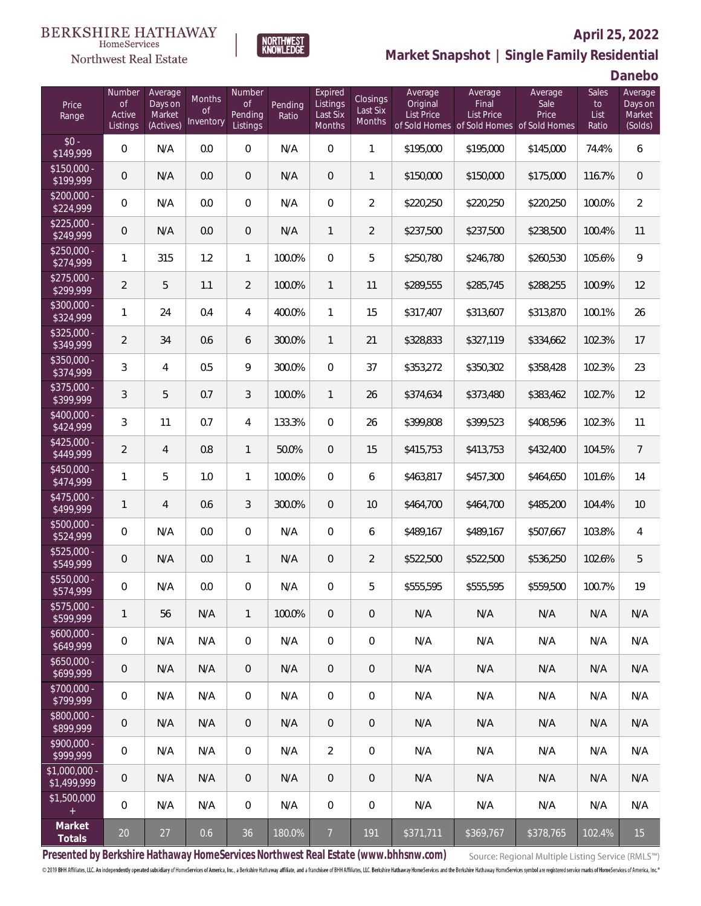#### **BERKSHIRE HATHAWAY**  $\label{lem:sevices} \textsc{Home} \textsc{Service} \textsc{s}$

### Northwest Real Estate



### **April 25, 2022 Market Snapshot | Single Family Residential**

**Danebo**

| Price<br>Range                | Number<br><b>of</b><br>Active<br>Listings | Average<br>Days on<br>Market<br>(Actives) | Months<br>0f<br>Inventory | Number<br><b>of</b><br>Pending<br>Listings | Pending<br>Ratio | Expired<br>Listings<br>Last Six<br>Months | Closings<br>Last Six<br>Months | Average<br>Original<br>List Price | Average<br>Final<br>List Price<br>of Sold Homes of Sold Homes of Sold Homes | Average<br>Sale<br>Price | Sales<br>to<br>List<br>Ratio | Average<br>Days on<br>Market<br>(Solds) |
|-------------------------------|-------------------------------------------|-------------------------------------------|---------------------------|--------------------------------------------|------------------|-------------------------------------------|--------------------------------|-----------------------------------|-----------------------------------------------------------------------------|--------------------------|------------------------------|-----------------------------------------|
| $$0 -$<br>\$149,999           | $\overline{0}$                            | N/A                                       | 0.0                       | $\overline{0}$                             | N/A              | $\Omega$                                  | $\mathbf{1}$                   | \$195,000                         | \$195,000                                                                   | \$145,000                | 74.4%                        | 6                                       |
| $$150,000 -$<br>\$199,999     | $\overline{0}$                            | N/A                                       | 0.0                       | $\overline{0}$                             | N/A              | $\Omega$                                  | $\mathbf{1}$                   | \$150,000                         | \$150,000                                                                   | \$175,000                | 116.7%                       | $\mathbf 0$                             |
| $$200,000 -$<br>\$224,999     | $\overline{0}$                            | N/A                                       | 0.0                       | $\overline{0}$                             | N/A              | $\Omega$                                  | $\overline{2}$                 | \$220,250                         | \$220,250                                                                   | \$220,250                | 100.0%                       | $\overline{2}$                          |
| $$225,000 -$<br>\$249,999     | $\overline{0}$                            | N/A                                       | 0.0                       | $\overline{0}$                             | N/A              | $\mathbf{1}$                              | $\overline{2}$                 | \$237,500                         | \$237,500                                                                   | \$238,500                | 100.4%                       | 11                                      |
| $$250,000 -$<br>\$274,999     | $\mathbf{1}$                              | 315                                       | 1.2                       | $\mathbf{1}$                               | 100.0%           | $\Omega$                                  | 5                              | \$250,780                         | \$246,780                                                                   | \$260,530                | 105.6%                       | $\mathcal{G}$                           |
| $$275,000 -$<br>\$299,999     | $\overline{2}$                            | 5                                         | 1.1                       | $\overline{2}$                             | 100.0%           | $\mathbf{1}$                              | 11                             | \$289,555                         | \$285,745                                                                   | \$288,255                | 100.9%                       | 12                                      |
| $$300,000 -$<br>\$324,999     | $\mathbf{1}$                              | 24                                        | 0.4                       | $\overline{4}$                             | 400.0%           | $\mathbf{1}$                              | 15                             | \$317,407                         | \$313,607                                                                   | \$313,870                | 100.1%                       | 26                                      |
| $$325,000 -$<br>\$349,999     | $\overline{2}$                            | 34                                        | 0.6                       | 6                                          | 300.0%           | $\mathbf{1}$                              | 21                             | \$328,833                         | \$327,119                                                                   | \$334,662                | 102.3%                       | 17                                      |
| $$350,000 -$<br>\$374,999     | 3                                         | $\overline{4}$                            | 0.5                       | 9                                          | 300.0%           | $\Omega$                                  | 37                             | \$353,272                         | \$350,302                                                                   | \$358,428                | 102.3%                       | 23                                      |
| $$375,000 -$<br>\$399,999     | 3                                         | 5                                         | 0.7                       | 3                                          | 100.0%           | $\mathbf{1}$                              | 26                             | \$374,634                         | \$373,480                                                                   | \$383,462                | 102.7%                       | 12                                      |
| $$400,000 -$<br>\$424,999     | 3                                         | 11                                        | 0.7                       | 4                                          | 133.3%           | $\Omega$                                  | 26                             | \$399,808                         | \$399,523                                                                   | \$408,596                | 102.3%                       | 11                                      |
| $$425,000 -$<br>\$449,999     | $\overline{2}$                            | $\overline{4}$                            | 0.8                       | $\mathbf{1}$                               | 50.0%            | $\overline{0}$                            | 15                             | \$415,753                         | \$413,753                                                                   | \$432,400                | 104.5%                       | $\overline{7}$                          |
| $$450,000 -$<br>\$474,999     | 1                                         | 5                                         | 1.0                       | $\mathbf{1}$                               | 100.0%           | $\overline{0}$                            | 6                              | \$463,817                         | \$457,300                                                                   | \$464,650                | 101.6%                       | 14                                      |
| $$475,000 -$<br>\$499,999     | $\mathbf{1}$                              | $\overline{4}$                            | 0.6                       | $\mathfrak{Z}$                             | 300.0%           | $\overline{0}$                            | 10                             | \$464,700                         | \$464,700                                                                   | \$485,200                | 104.4%                       | 10                                      |
| \$500,000 -<br>\$524,999      | $\overline{0}$                            | N/A                                       | 0.0                       | $\overline{0}$                             | N/A              | $\overline{0}$                            | 6                              | \$489,167                         | \$489,167                                                                   | \$507,667                | 103.8%                       | $\overline{4}$                          |
| $$525,000 -$<br>\$549,999     | $\overline{0}$                            | N/A                                       | 0.0                       | $\mathbf{1}$                               | N/A              | $\overline{0}$                            | $\overline{2}$                 | \$522,500                         | \$522,500                                                                   | \$536,250                | 102.6%                       | 5                                       |
| \$550,000 -<br>\$574,999      | 0                                         | N/A                                       | 0.0                       | $\overline{0}$                             | N/A              | $\overline{0}$                            | 5                              | \$555,595                         | \$555,595                                                                   | \$559,500                | 100.7%                       | 19                                      |
| $$575,000 -$<br>\$599,999     | 1                                         | 56                                        | N/A                       | $\mathbf{1}$                               | 100.0%           | $\theta$                                  | 0                              | N/A                               | N/A                                                                         | N/A                      | N/A                          | N/A                                     |
| $$600,000 -$<br>\$649,999     | $\boldsymbol{0}$                          | N/A                                       | N/A                       | $\mathbf 0$                                | N/A              | $\mathbf 0$                               | $\mathbf 0$                    | N/A                               | N/A                                                                         | N/A                      | N/A                          | N/A                                     |
| $$650,000 -$<br>\$699,999     | $\mathbf 0$                               | N/A                                       | N/A                       | $\mathbf 0$                                | N/A              | $\sqrt{2}$                                | 0                              | N/A                               | N/A                                                                         | N/A                      | N/A                          | N/A                                     |
| $$700,000 -$<br>\$799,999     | $\boldsymbol{0}$                          | N/A                                       | N/A                       | $\mathbf 0$                                | N/A              | $\mathbf 0$                               | $\mathbf 0$                    | N/A                               | N/A                                                                         | N/A                      | N/A                          | N/A                                     |
| $$800,000 -$<br>\$899,999     | $\boldsymbol{0}$                          | N/A                                       | N/A                       | $\mathbf 0$                                | N/A              | $\sqrt{2}$                                | 0                              | N/A                               | N/A                                                                         | N/A                      | N/A                          | N/A                                     |
| $$900,000 -$<br>\$999,999     | 0                                         | N/A                                       | N/A                       | $\mathbf 0$                                | N/A              | $\overline{2}$                            | $\mathbf 0$                    | N/A                               | N/A                                                                         | N/A                      | N/A                          | N/A                                     |
| $$1,000,000$ -<br>\$1,499,999 | 0                                         | N/A                                       | N/A                       | $\mathbf 0$                                | N/A              | $\overline{0}$                            | 0                              | N/A                               | N/A                                                                         | N/A                      | N/A                          | N/A                                     |
| \$1,500,000<br>$\pm$          | 0                                         | N/A                                       | N/A                       | $\boldsymbol{0}$                           | N/A              | $\mathbf 0$                               | $\mathbf 0$                    | N/A                               | N/A                                                                         | N/A                      | N/A                          | N/A                                     |
| Market<br>Totals              | $20\,$                                    | 27                                        | 0.6                       | 36                                         | 180.0%           | $\overline{7}$                            | 191                            | \$371,711                         | \$369,767                                                                   | \$378,765                | 102.4%                       | 15                                      |

**Presented by Berkshire Hathaway HomeServices Northwest Real Estate (www.bhhsnw.com)**

Source: Regional Multiple Listing Service (RMLS™)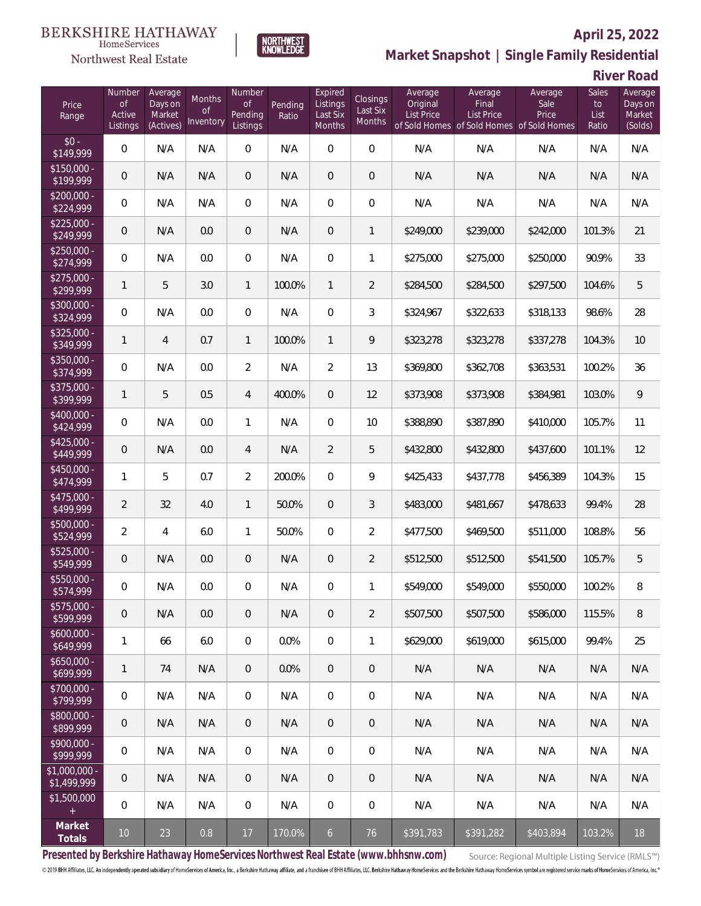

**NORTHWEST**<br>KNOWLEDGE

Northwest Real Estate

### **Market Snapshot | Single Family Residential**

**River Road**

| Price<br>Range                       | Number<br>$\circ f$<br>Active<br>Listings | Average<br>Days on<br>Market<br>(Actives) | Months<br><b>of</b><br>Inventory | Number<br><b>of</b><br>Pending<br>Listings | Pending<br>Ratio | Expired<br>Listings<br>Last Six<br><b>Months</b> | Closings<br>Last Six<br>Months | Average<br>Original<br><b>List Price</b> | Average<br>Final<br>List Price<br>of Sold Homes of Sold Homes of Sold Homes | Average<br>Sale<br>Price | Sales<br>to<br>List<br>Ratio | Average<br>Days on<br>Market<br>(Solds) |
|--------------------------------------|-------------------------------------------|-------------------------------------------|----------------------------------|--------------------------------------------|------------------|--------------------------------------------------|--------------------------------|------------------------------------------|-----------------------------------------------------------------------------|--------------------------|------------------------------|-----------------------------------------|
| $$0 -$<br>\$149,999                  | 0                                         | N/A                                       | N/A                              | 0                                          | N/A              | $\overline{0}$                                   | $\boldsymbol{0}$               | N/A                                      | N/A                                                                         | N/A                      | N/A                          | N/A                                     |
| $\overline{$150,000}$ -<br>\$199,999 | 0                                         | N/A                                       | N/A                              | $\overline{0}$                             | N/A              | $\overline{0}$                                   | $\theta$                       | N/A                                      | N/A                                                                         | N/A                      | N/A                          | N/A                                     |
| $$200,000 -$<br>\$224,999            | 0                                         | N/A                                       | N/A                              | $\overline{0}$                             | N/A              | $\mathbf{0}$                                     | $\mathbf 0$                    | N/A                                      | N/A                                                                         | N/A                      | N/A                          | N/A                                     |
| $$225,000 -$<br>\$249,999            | 0                                         | N/A                                       | 0.0                              | $\overline{0}$                             | N/A              | $\overline{0}$                                   | 1                              | \$249,000                                | \$239,000                                                                   | \$242,000                | 101.3%                       | 21                                      |
| $$250,000 -$<br>\$274,999            | 0                                         | N/A                                       | 0.0                              | $\overline{0}$                             | N/A              | $\overline{0}$                                   | 1                              | \$275,000                                | \$275,000                                                                   | \$250,000                | 90.9%                        | 33                                      |
| $$275,000 -$<br>\$299,999            | $\mathbf{1}$                              | 5                                         | 3.0                              | 1                                          | 100.0%           | $\mathbf{1}$                                     | $\overline{2}$                 | \$284,500                                | \$284,500                                                                   | \$297,500                | 104.6%                       | 5                                       |
| $$300,000 -$<br>\$324,999            | $\boldsymbol{0}$                          | N/A                                       | 0.0                              | $\overline{0}$                             | N/A              | $\overline{0}$                                   | 3                              | \$324,967                                | \$322,633                                                                   | \$318,133                | 98.6%                        | 28                                      |
| $$325,000 -$<br>\$349,999            | $\mathbf{1}$                              | $\overline{4}$                            | 0.7                              | 1                                          | 100.0%           | $\mathbf{1}$                                     | 9                              | \$323,278                                | \$323,278                                                                   | \$337,278                | 104.3%                       | 10                                      |
| $$350,000 -$<br>\$374,999            | 0                                         | N/A                                       | 0.0                              | $\overline{2}$                             | N/A              | $\overline{2}$                                   | 13                             | \$369,800                                | \$362,708                                                                   | \$363,531                | 100.2%                       | 36                                      |
| \$375,000 -<br>\$399,999             | $\mathbf{1}$                              | 5                                         | 0.5                              | $\overline{4}$                             | 400.0%           | $\overline{0}$                                   | 12                             | \$373,908                                | \$373,908                                                                   | \$384,981                | 103.0%                       | 9                                       |
| $$400,000 -$<br>\$424,999            | 0                                         | N/A                                       | 0.0                              | 1                                          | N/A              | $\overline{0}$                                   | 10                             | \$388,890                                | \$387,890                                                                   | \$410,000                | 105.7%                       | 11                                      |
| $$425,000 -$<br>\$449,999            | 0                                         | N/A                                       | 0.0                              | $\overline{4}$                             | N/A              | $\overline{2}$                                   | 5                              | \$432,800                                | \$432,800                                                                   | \$437,600                | 101.1%                       | 12                                      |
| \$450,000 -<br>\$474,999             | 1                                         | 5                                         | 0.7                              | $\overline{2}$                             | 200.0%           | $\overline{0}$                                   | 9                              | \$425,433                                | \$437,778                                                                   | \$456,389                | 104.3%                       | 15                                      |
| $$475,000 -$<br>\$499,999            | 2                                         | 32                                        | 4.0                              | 1                                          | 50.0%            | $\overline{0}$                                   | 3                              | \$483,000                                | \$481,667                                                                   | \$478,633                | 99.4%                        | 28                                      |
| $$500,000 -$<br>\$524,999            | $\overline{2}$                            | 4                                         | 6.0                              | 1                                          | 50.0%            | $\overline{0}$                                   | $\overline{2}$                 | \$477,500                                | \$469,500                                                                   | \$511,000                | 108.8%                       | 56                                      |
| \$525,000 -<br>\$549,999             | 0                                         | N/A                                       | 0.0                              | $\overline{0}$                             | N/A              | $\overline{0}$                                   | $\overline{2}$                 | \$512,500                                | \$512,500                                                                   | \$541,500                | 105.7%                       | 5                                       |
| \$550,000 -<br>\$574,999             | 0                                         | N/A                                       | 0.0                              | 0                                          | N/A              | $\overline{0}$                                   | 1                              | \$549,000                                | \$549,000                                                                   | \$550,000                | 100.2%                       | $\, 8$                                  |
| $$575,000 -$<br>\$599,999            | 0                                         | N/A                                       | 0.0                              | 0                                          | N/A              | 0                                                | 2                              | \$507,500                                | \$507,500                                                                   | \$586,000                | 115.5%                       | 8                                       |
| $$600,000 -$<br>\$649,999            | 1                                         | 66                                        | 6.0                              | $\overline{0}$                             | 0.0%             | $\overline{0}$                                   | $\mathbf{1}$                   | \$629,000                                | \$619,000                                                                   | \$615,000                | 99.4%                        | 25                                      |
| $$650,000 -$<br>\$699,999            | $\mathbf{1}$                              | 74                                        | N/A                              | $\overline{0}$                             | 0.0%             | $\overline{0}$                                   | $\overline{0}$                 | N/A                                      | N/A                                                                         | N/A                      | N/A                          | N/A                                     |
| $$700,000 -$<br>\$799,999            | 0                                         | N/A                                       | N/A                              | $\overline{0}$                             | N/A              | $\mathbf 0$                                      | $\boldsymbol{0}$               | N/A                                      | N/A                                                                         | N/A                      | N/A                          | N/A                                     |
| \$800,000 -<br>\$899,999             | 0                                         | N/A                                       | N/A                              | $\overline{0}$                             | N/A              | $\overline{0}$                                   | $\overline{0}$                 | N/A                                      | N/A                                                                         | N/A                      | N/A                          | N/A                                     |
| $$900,000 -$<br>\$999,999            | 0                                         | N/A                                       | N/A                              | $\overline{0}$                             | N/A              | $\mathbf 0$                                      | 0                              | N/A                                      | N/A                                                                         | N/A                      | N/A                          | N/A                                     |
| $$1,000,000 -$<br>\$1,499,999        | 0                                         | N/A                                       | N/A                              | $\overline{0}$                             | N/A              | $\mathbf{0}$                                     | $\overline{0}$                 | N/A                                      | N/A                                                                         | N/A                      | N/A                          | N/A                                     |
| \$1,500,000                          | 0                                         | N/A                                       | N/A                              | $\overline{0}$                             | N/A              | $\mathbf 0$                                      | 0                              | N/A                                      | N/A                                                                         | N/A                      | N/A                          | N/A                                     |
| Market<br>Totals                     | 10                                        | 23                                        | 0.8                              | 17                                         | 170.0%           | $6\overline{6}$                                  | 76                             | \$391,783                                | \$391,282                                                                   | \$403,894                | 103.2%                       | 18                                      |

**Presented by Berkshire Hathaway HomeServices Northwest Real Estate (www.bhhsnw.com)**

Source: Regional Multiple Listing Service (RMLS™)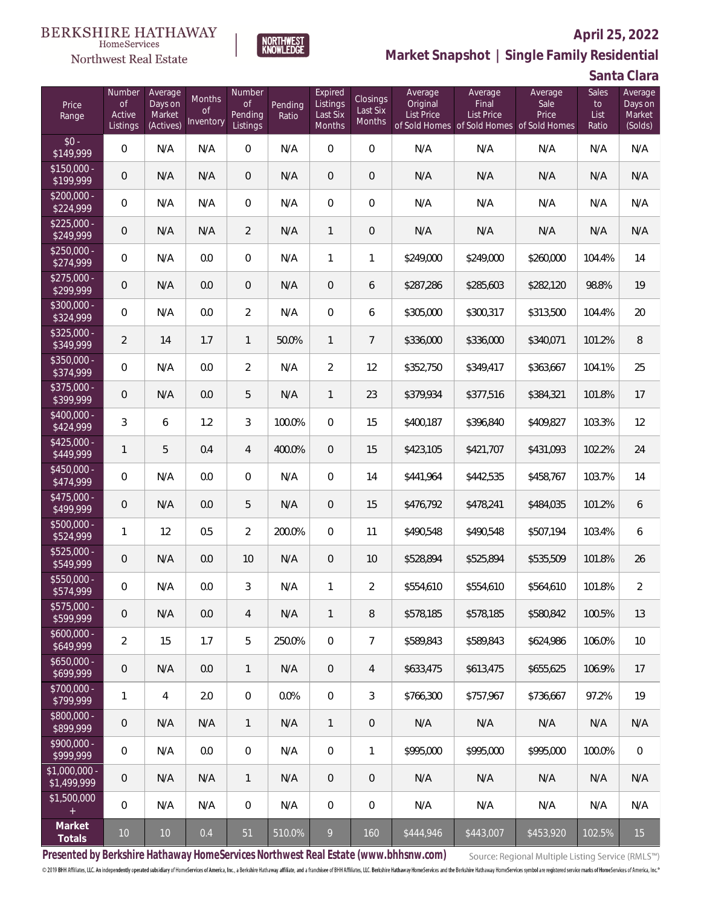### **BERKSHIRE HATHAWAY** HomeServices

**NORTHWEST**<br>KNOWLEDGE

Northwest Real Estate

## **Market Snapshot | Single Family Residential**

**Santa Clara**

| Price<br>Range                | Number<br>of<br>Active<br>Listings | Average<br>Days on<br>Market<br>(Actives) | Months<br>0f<br>Inventory | Number<br>Οf<br>Pending<br>Listings | Pending<br>Ratio | Expired<br>Listings<br>Last Six<br><b>Months</b> | Closings<br>Last Six<br>Months | Average<br>Original<br><b>List Price</b> | Average<br>Final<br>List Price<br>of Sold Homes of Sold Homes of Sold Homes | Average<br>Sale<br>Price | Sales<br>to<br>List<br>Ratio | Average<br>Days on<br>Market<br>(Solds) |
|-------------------------------|------------------------------------|-------------------------------------------|---------------------------|-------------------------------------|------------------|--------------------------------------------------|--------------------------------|------------------------------------------|-----------------------------------------------------------------------------|--------------------------|------------------------------|-----------------------------------------|
| $$0 -$<br>\$149,999           | 0                                  | N/A                                       | N/A                       | $\overline{0}$                      | N/A              | $\overline{0}$                                   | $\mathbf{0}$                   | N/A                                      | N/A                                                                         | N/A                      | N/A                          | N/A                                     |
| $$150.000 -$<br>\$199,999     | 0                                  | N/A                                       | N/A                       | $\overline{0}$                      | N/A              | $\overline{0}$                                   | $\theta$                       | N/A                                      | N/A                                                                         | N/A                      | N/A                          | N/A                                     |
| $$200.000 -$<br>\$224,999     | 0                                  | N/A                                       | N/A                       | $\overline{0}$                      | N/A              | 0                                                | $\mathbf 0$                    | N/A                                      | N/A                                                                         | N/A                      | N/A                          | N/A                                     |
| $$225.000 -$<br>\$249,999     | $\theta$                           | N/A                                       | N/A                       | $\overline{2}$                      | N/A              | $\mathbf{1}$                                     | $\theta$                       | N/A                                      | N/A                                                                         | N/A                      | N/A                          | N/A                                     |
| $$250.000 -$<br>\$274,999     | 0                                  | N/A                                       | 0.0                       | $\overline{0}$                      | N/A              | 1                                                | 1                              | \$249,000                                | \$249,000                                                                   | \$260,000                | 104.4%                       | 14                                      |
| $$275.000 -$<br>\$299,999     | 0                                  | N/A                                       | 0.0                       | $\overline{0}$                      | N/A              | $\overline{0}$                                   | 6                              | \$287,286                                | \$285,603                                                                   | \$282,120                | 98.8%                        | 19                                      |
| $$300,000 -$<br>\$324,999     | 0                                  | N/A                                       | 0.0                       | $\overline{2}$                      | N/A              | $\overline{0}$                                   | 6                              | \$305,000                                | \$300,317                                                                   | \$313,500                | 104.4%                       | 20                                      |
| $$325.000 -$<br>\$349,999     | $\overline{2}$                     | 14                                        | 1.7                       | $\mathbf{1}$                        | 50.0%            | $\mathbf{1}$                                     | $\overline{7}$                 | \$336,000                                | \$336,000                                                                   | \$340,071                | 101.2%                       | $\, 8$                                  |
| $$350,000 -$<br>\$374,999     | 0                                  | N/A                                       | 0.0                       | $\overline{2}$                      | N/A              | $\overline{2}$                                   | 12                             | \$352,750                                | \$349,417                                                                   | \$363,667                | 104.1%                       | 25                                      |
| $$375,000 -$<br>\$399,999     | 0                                  | N/A                                       | 0.0                       | 5                                   | N/A              | $\mathbf{1}$                                     | 23                             | \$379,934                                | \$377,516                                                                   | \$384,321                | 101.8%                       | 17                                      |
| $$400,000 -$<br>\$424,999     | 3                                  | 6                                         | 1.2                       | 3                                   | 100.0%           | $\overline{0}$                                   | 15                             | \$400,187                                | \$396,840                                                                   | \$409,827                | 103.3%                       | 12                                      |
| $$425,000 -$<br>\$449,999     | 1                                  | 5                                         | 0.4                       | 4                                   | 400.0%           | $\overline{0}$                                   | 15                             | \$423,105                                | \$421,707                                                                   | \$431,093                | 102.2%                       | 24                                      |
| $$450,000 -$<br>\$474,999     | $\boldsymbol{0}$                   | N/A                                       | 0.0                       | $\overline{0}$                      | N/A              | $\overline{0}$                                   | 14                             | \$441,964                                | \$442,535                                                                   | \$458,767                | 103.7%                       | 14                                      |
| $$475,000 -$<br>\$499,999     | 0                                  | N/A                                       | 0.0                       | 5                                   | N/A              | $\overline{0}$                                   | 15                             | \$476,792                                | \$478,241                                                                   | \$484,035                | 101.2%                       | 6                                       |
| \$500,000 -<br>\$524,999      | 1                                  | 12                                        | 0.5                       | $\overline{2}$                      | 200.0%           | $\overline{0}$                                   | 11                             | \$490,548                                | \$490,548                                                                   | \$507,194                | 103.4%                       | $\boldsymbol{6}$                        |
| \$525,000 -<br>\$549,999      | 0                                  | N/A                                       | 0.0                       | 10                                  | N/A              | $\overline{0}$                                   | 10                             | \$528,894                                | \$525,894                                                                   | \$535,509                | 101.8%                       | 26                                      |
| \$550,000 -<br>\$574,999      | 0                                  | N/A                                       | $0.0\,$                   | 3                                   | N/A              | 1                                                | $\overline{2}$                 | \$554,610                                | \$554,610                                                                   | \$564,610                | 101.8%                       | $\overline{2}$                          |
| $$575,000 -$<br>\$599,999     | 0                                  | N/A                                       | 0.0                       | $\overline{4}$                      | N/A              | $\mathbf{1}$                                     | 8                              | \$578,185                                | \$578,185                                                                   | \$580.842                | 100.5%                       | 13                                      |
| $$600,000 -$<br>\$649,999     | $\overline{2}$                     | 15                                        | 1.7                       | 5                                   | 250.0%           | $\overline{0}$                                   | $\overline{7}$                 | \$589,843                                | \$589,843                                                                   | \$624,986                | 106.0%                       | 10                                      |
| $$650,000 -$<br>5699,999      | $\mathbf 0$                        | N/A                                       | 0.0                       | $\mathbf{1}$                        | N/A              | $\overline{0}$                                   | $\overline{4}$                 | \$633,475                                | \$613,475                                                                   | \$655,625                | 106.9%                       | 17                                      |
| $$700,000 -$<br>\$799,999     | 1                                  | $\overline{4}$                            | 2.0                       | $\overline{0}$                      | 0.0%             | $\overline{0}$                                   | 3                              | \$766,300                                | \$757,967                                                                   | \$736.667                | 97.2%                        | 19                                      |
| \$800,000 -<br>\$899,999      | $\mathbf 0$                        | N/A                                       | N/A                       | $\mathbf{1}$                        | N/A              | $\mathbf{1}$                                     | $\sqrt{2}$                     | N/A                                      | N/A                                                                         | N/A                      | N/A                          | N/A                                     |
| $$900,000 -$<br>\$999,999     | 0                                  | N/A                                       | 0.0                       | $\overline{0}$                      | N/A              | $\overline{0}$                                   | 1                              | \$995,000                                | \$995,000                                                                   | \$995,000                | 100.0%                       | $\mathbf 0$                             |
| $$1,000,000 -$<br>\$1,499,999 | $\theta$                           | N/A                                       | N/A                       | $\mathbf{1}$                        | N/A              | $\overline{0}$                                   | $\overline{0}$                 | N/A                                      | N/A                                                                         | N/A                      | N/A                          | N/A                                     |
| \$1,500,000                   | 0                                  | N/A                                       | N/A                       | $\overline{0}$                      | N/A              | $\mathbf{0}$                                     | $\mathbf 0$                    | N/A                                      | N/A                                                                         | N/A                      | N/A                          | N/A                                     |
| Market<br>Totals              | $10$                               | 10                                        | 0.4                       | 51                                  | 510.0%           | 9                                                | 160                            | \$444,946                                | \$443,007                                                                   | \$453,920                | 102.5%                       | 15                                      |

**Presented by Berkshire Hathaway HomeServices Northwest Real Estate (www.bhhsnw.com)**

Source: Regional Multiple Listing Service (RMLS™)